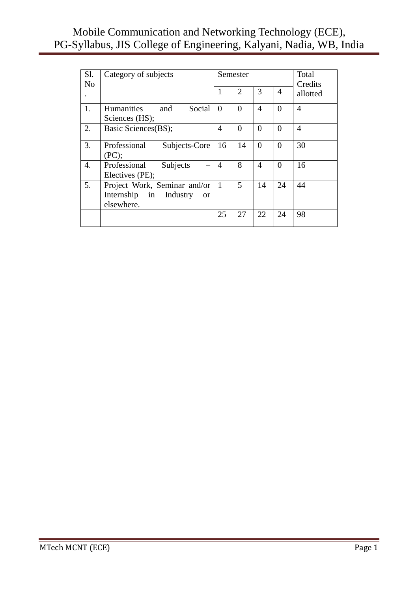| Sl.<br>N <sub>o</sub> | Category of subjects                                                                  |                | Semester       |                |                | Total<br>Credits |
|-----------------------|---------------------------------------------------------------------------------------|----------------|----------------|----------------|----------------|------------------|
|                       |                                                                                       | 1              | $\overline{2}$ | 3              | $\overline{4}$ | allotted         |
| 1.                    | Humanities<br>Social<br>and<br>Sciences (HS);                                         | $\overline{0}$ | $\Omega$       | 4              | $\Omega$       | 4                |
| 2.                    | Basic Sciences(BS);                                                                   | 4              | $\theta$       | $\theta$       | $\theta$       | 4                |
| 3.                    | Professional<br>Subjects-Core<br>(PC);                                                | 16             | 14             | $\overline{0}$ | $\Omega$       | 30               |
| 4.                    | Professional<br>Subjects<br>Electives (PE);                                           | $\overline{4}$ | 8              | 4              | $\Omega$       | 16               |
| 5.                    | Project Work, Seminar and/or<br>Internship in Industry<br><sub>or</sub><br>elsewhere. | $\mathbf{1}$   | 5              | 14             | 24             | 44               |
|                       |                                                                                       | 25             | 27             | 22             | 24             | 98               |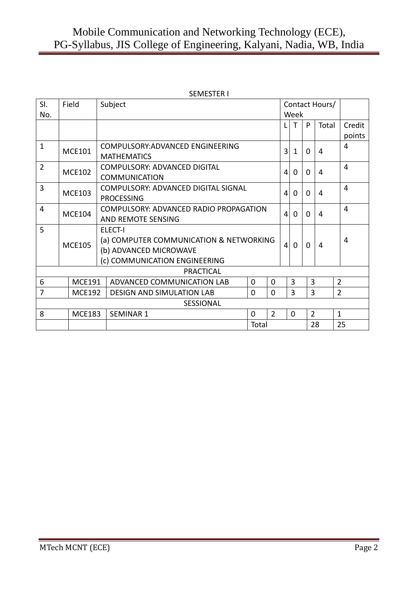|                |               | SEMESTER I |                                         |             |                |                |                |                |                |                |
|----------------|---------------|------------|-----------------------------------------|-------------|----------------|----------------|----------------|----------------|----------------|----------------|
| SI.            | Field         |            | Subject                                 |             |                |                |                |                | Contact Hours/ |                |
| No.            |               |            |                                         |             |                |                | Week           |                |                |                |
|                |               |            |                                         |             |                | L              | T              | P              | Total          | Credit         |
|                |               |            |                                         |             |                |                |                |                |                | points         |
| $\mathbf{1}$   | <b>MCE101</b> |            | COMPULSORY: ADVANCED ENGINEERING        |             |                | 3              | 1              | 0              | 4              | 4              |
|                |               |            | <b>MATHEMATICS</b>                      |             |                |                |                |                |                |                |
| $\overline{2}$ | <b>MCE102</b> |            | <b>COMPULSORY: ADVANCED DIGITAL</b>     |             |                | 4              | 0              | 0              | 4              | 4              |
|                |               |            | <b>COMMUNICATION</b>                    |             |                |                |                |                |                |                |
| 3              | <b>MCE103</b> |            | COMPULSORY: ADVANCED DIGITAL SIGNAL     |             |                | 4              | 0              | 0              | 4              | 4              |
|                |               |            | <b>PROCESSING</b>                       |             |                |                |                |                |                |                |
| $\overline{4}$ | <b>MCE104</b> |            | COMPULSORY: ADVANCED RADIO PROPAGATION  |             |                | 4              | $\Omega$       | $\Omega$       | 4              | $\overline{4}$ |
|                |               |            | <b>AND REMOTE SENSING</b>               |             |                |                |                |                |                |                |
| 5              |               |            | <b>ELECT-I</b>                          |             |                |                |                |                |                |                |
|                | <b>MCE105</b> |            | (a) COMPUTER COMMUNICATION & NETWORKING |             |                | $\overline{4}$ | $\Omega$       | $\Omega$       | 4              | 4              |
|                |               |            | (b) ADVANCED MICROWAVE                  |             |                |                |                |                |                |                |
|                |               |            | (c) COMMUNICATION ENGINEERING           |             |                |                |                |                |                |                |
|                |               |            | <b>PRACTICAL</b>                        |             |                |                |                |                |                |                |
| 6              | <b>MCE191</b> |            | ADVANCED COMMUNICATION LAB              | $\Omega$    | $\Omega$       |                | $\overline{3}$ | 3              |                | $\overline{2}$ |
| 7              | <b>MCE192</b> |            | <b>DESIGN AND SIMULATION LAB</b>        | $\Omega$    |                | 3              | 3              |                | $\overline{2}$ |                |
|                |               |            | <b>SESSIONAL</b>                        |             |                |                |                |                |                |                |
| 8              | <b>MCE183</b> |            | <b>SEMINAR 1</b>                        | $\mathbf 0$ | $\overline{2}$ |                | $\Omega$       | $\overline{2}$ |                | $\mathbf{1}$   |
|                |               |            |                                         | Total       |                |                |                |                | 28             | 25             |

#### SEMESTER I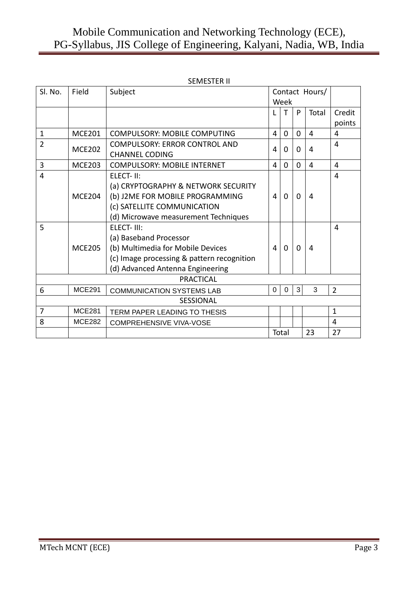|                |               | <b>SEMESTER II</b>                         |          |                |                |                |                |
|----------------|---------------|--------------------------------------------|----------|----------------|----------------|----------------|----------------|
| Sl. No.        | Field         | Subject                                    |          |                |                | Contact Hours/ |                |
|                |               |                                            |          | Week           |                |                |                |
|                |               |                                            |          | т              | P              | Total          | Credit         |
|                |               |                                            |          |                |                |                | points         |
| $\mathbf{1}$   | <b>MCE201</b> | <b>COMPULSORY: MOBILE COMPUTING</b>        | 4        | $\overline{0}$ | $\Omega$       | $\overline{4}$ | 4              |
| $\overline{2}$ | <b>MCE202</b> | <b>COMPULSORY: ERROR CONTROL AND</b>       | 4        | $\Omega$       | $\Omega$       | 4              | $\overline{4}$ |
|                |               | <b>CHANNEL CODING</b>                      |          |                |                |                |                |
| $\overline{3}$ | <b>MCE203</b> | <b>COMPULSORY: MOBILE INTERNET</b>         | 4        | $\Omega$       | $\Omega$       | 4              | 4              |
| $\overline{4}$ |               | ELECT-II:                                  |          |                |                |                | 4              |
|                |               | (a) CRYPTOGRAPHY & NETWORK SECURITY        |          |                |                |                |                |
|                | <b>MCE204</b> | (b) J2ME FOR MOBILE PROGRAMMING            | 4        | $\Omega$       | $\Omega$       | 4              |                |
|                |               | (c) SATELLITE COMMUNICATION                |          |                |                |                |                |
|                |               | (d) Microwave measurement Techniques       |          |                |                |                |                |
| 5              |               | ELECT-III:                                 |          |                |                |                | 4              |
|                |               | (a) Baseband Processor                     |          |                |                |                |                |
|                | <b>MCE205</b> | (b) Multimedia for Mobile Devices          | 4        | $\Omega$       | $\overline{0}$ | 4              |                |
|                |               | (c) Image processing & pattern recognition |          |                |                |                |                |
|                |               | (d) Advanced Antenna Engineering           |          |                |                |                |                |
|                |               | <b>PRACTICAL</b>                           |          |                |                |                |                |
| 6              | <b>MCE291</b> | <b>COMMUNICATION SYSTEMS LAB</b>           | $\Omega$ | $\overline{0}$ | 3              | 3              | $\overline{2}$ |
|                |               | <b>SESSIONAL</b>                           |          |                |                |                |                |
| $\overline{7}$ | <b>MCE281</b> | TERM PAPER LEADING TO THESIS               |          |                |                |                | $\mathbf{1}$   |
| 8              | <b>MCE282</b> | <b>COMPREHENSIVE VIVA-VOSE</b>             |          |                |                |                | 4              |
|                |               |                                            |          | Total          |                | 23             | 27             |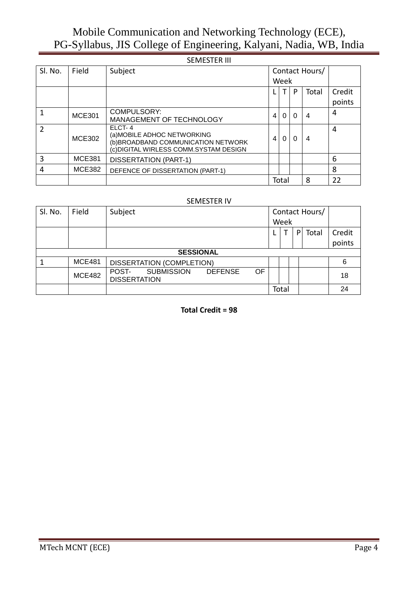|               |               | <b>JEIVIEJTER III</b>                                                                                                   |   |          |          |                |                  |
|---------------|---------------|-------------------------------------------------------------------------------------------------------------------------|---|----------|----------|----------------|------------------|
| Sl. No.       | Field         | Subject                                                                                                                 |   | Week     |          | Contact Hours/ |                  |
|               |               |                                                                                                                         |   |          | P        | Total          | Credit<br>points |
|               | <b>MCE301</b> | COMPULSORY:<br>MANAGEMENT OF TECHNOLOGY                                                                                 | 4 | $\Omega$ | $\Omega$ | 4              | 4                |
| $\mathcal{P}$ | <b>MCE302</b> | ELCT-4<br>(a) MOBILE ADHOC NETWORKING<br>(b) BROADBAND COMMUNICATION NETWORK<br>(c) DIGITAL WIRLESS COMM. SYSTAM DESIGN | 4 | 0        | 0        | 4              | 4                |
| 3             | <b>MCE381</b> | <b>DISSERTATION (PART-1)</b>                                                                                            |   |          |          |                | 6                |
| 4             | <b>MCE382</b> | DEFENCE OF DISSERTATION (PART-1)                                                                                        |   |          |          |                | 8                |
|               |               |                                                                                                                         |   | Total    |          | 8              | 22               |

# SEMESTER III

#### SEMESTER IV

| SI. No. | Field            | Subject                                                                   |       |  |   | Contact Hours/ |        |  |  |  |  |  |  |  |
|---------|------------------|---------------------------------------------------------------------------|-------|--|---|----------------|--------|--|--|--|--|--|--|--|
|         |                  |                                                                           | Week  |  |   |                |        |  |  |  |  |  |  |  |
|         |                  |                                                                           |       |  | P | Total          | Credit |  |  |  |  |  |  |  |
|         |                  |                                                                           |       |  |   |                | points |  |  |  |  |  |  |  |
|         | <b>SESSIONAL</b> |                                                                           |       |  |   |                |        |  |  |  |  |  |  |  |
|         | <b>MCE481</b>    | <b>DISSERTATION (COMPLETION)</b>                                          |       |  |   |                | 6      |  |  |  |  |  |  |  |
|         | <b>MCE482</b>    | OF<br><b>SUBMISSION</b><br><b>DEFENSE</b><br>POST-<br><b>DISSERTATION</b> |       |  |   |                | 18     |  |  |  |  |  |  |  |
|         |                  |                                                                           | Total |  |   | 24             |        |  |  |  |  |  |  |  |

**Total Credit = 98**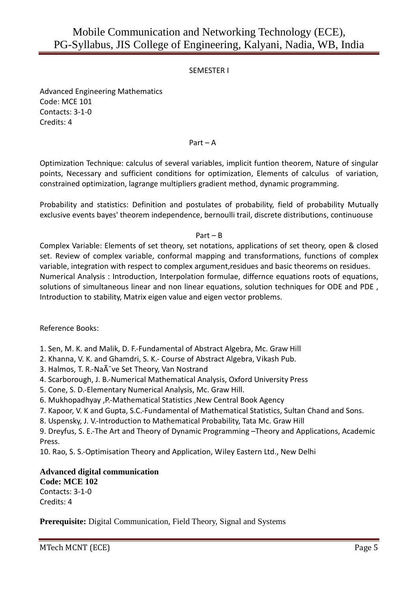# SEMESTER I

Advanced Engineering Mathematics Code: MCE 101 Contacts: 3-1-0 Credits: 4

### Part – A

Optimization Technique: calculus of several variables, implicit funtion theorem, Nature of singular points, Necessary and sufficient conditions for optimization, Elements of calculus of variation, constrained optimization, lagrange multipliers gradient method, dynamic programming.

Probability and statistics: Definition and postulates of probability, field of probability Mutually exclusive events bayes' theorem independence, bernoulli trail, discrete distributions, continuouse

### Part – B

Complex Variable: Elements of set theory, set notations, applications of set theory, open & closed set. Review of complex variable, conformal mapping and transformations, functions of complex variable, integration with respect to complex argument,residues and basic theorems on residues. Numerical Analysis : Introduction, Interpolation formulae, differnce equations roots of equations, solutions of simultaneous linear and non linear equations, solution techniques for ODE and PDE , Introduction to stability, Matrix eigen value and eigen vector problems.

Reference Books:

1. Sen, M. K. and Malik, D. F.-Fundamental of Abstract Algebra, Mc. Graw Hill

- 2. Khanna, V. K. and Ghamdri, S. K.- Course of Abstract Algebra, Vikash Pub.
- 3. Halmos, T. R.-Naà ve Set Theory, Van Nostrand
- 4. Scarborough, J. B.-Numerical Mathematical Analysis, Oxford University Press
- 5. Cone, S. D.-Elementary Numerical Analysis, Mc. Graw Hill.
- 6. Mukhopadhyay ,P.-Mathematical Statistics ,New Central Book Agency
- 7. Kapoor, V. K and Gupta, S.C.-Fundamental of Mathematical Statistics, Sultan Chand and Sons.
- 8. Uspensky, J. V.-Introduction to Mathematical Probability, Tata Mc. Graw Hill

9. Dreyfus, S. E.-The Art and Theory of Dynamic Programming –Theory and Applications, Academic Press.

10. Rao, S. S.-Optimisation Theory and Application, Wiley Eastern Ltd., New Delhi

# **Advanced digital communication**

**Code: MCE 102**  Contacts: 3-1-0 Credits: 4

**Prerequisite:** Digital Communication, Field Theory, Signal and Systems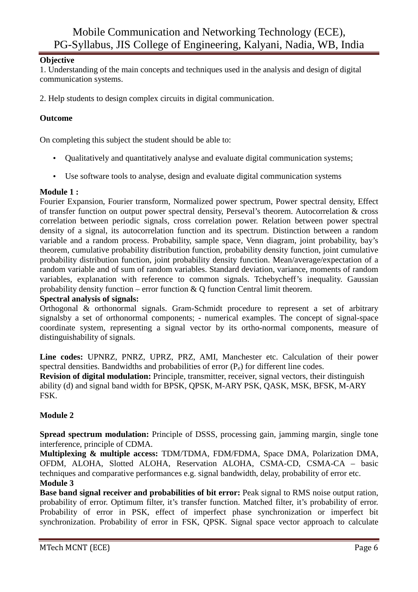# **Objective**

1. Understanding of the main concepts and techniques used in the analysis and design of digital communication systems.

2. Help students to design complex circuits in digital communication.

# **Outcome**

On completing this subject the student should be able to:

- Qualitatively and quantitatively analyse and evaluate digital communication systems;
- Use software tools to analyse, design and evaluate digital communication systems

# **Module 1 :**

Fourier Expansion, Fourier transform, Normalized power spectrum, Power spectral density, Effect of transfer function on output power spectral density, Perseval's theorem. Autocorrelation & cross correlation between periodic signals, cross correlation power. Relation between power spectral density of a signal, its autocorrelation function and its spectrum. Distinction between a random variable and a random process. Probability, sample space, Venn diagram, joint probability, bay's theorem, cumulative probability distribution function, probability density function, joint cumulative probability distribution function, joint probability density function. Mean/average/expectation of a random variable and of sum of random variables. Standard deviation, variance, moments of random variables, explanation with reference to common signals. Tchebycheff's inequality. Gaussian probability density function – error function  $\&$  O function Central limit theorem.

# **Spectral analysis of signals:**

Orthogonal & orthonormal signals. Gram-Schmidt procedure to represent a set of arbitrary signalsby a set of orthonormal components; - numerical examples. The concept of signal-space coordinate system, representing a signal vector by its ortho-normal components, measure of distinguishability of signals.

**Line codes:** UPNRZ, PNRZ, UPRZ, PRZ, AMI, Manchester etc. Calculation of their power spectral densities. Bandwidths and probabilities of error  $(P_e)$  for different line codes.

**Revision of digital modulation:** Principle, transmitter, receiver, signal vectors, their distinguish ability (d) and signal band width for BPSK, QPSK, M-ARY PSK, QASK, MSK, BFSK, M-ARY FSK.

# **Module 2**

**Spread spectrum modulation:** Principle of DSSS, processing gain, jamming margin, single tone interference, principle of CDMA.

**Multiplexing & multiple access:** TDM/TDMA, FDM/FDMA, Space DMA, Polarization DMA, OFDM, ALOHA, Slotted ALOHA, Reservation ALOHA, CSMA-CD, CSMA-CA – basic techniques and comparative performances e.g. signal bandwidth, delay, probability of error etc. **Module 3** 

# **Base band signal receiver and probabilities of bit error:** Peak signal to RMS noise output ration, probability of error. Optimum filter, it's transfer function. Matched filter, it's probability of error. Probability of error in PSK, effect of imperfect phase synchronization or imperfect bit synchronization. Probability of error in FSK, QPSK. Signal space vector approach to calculate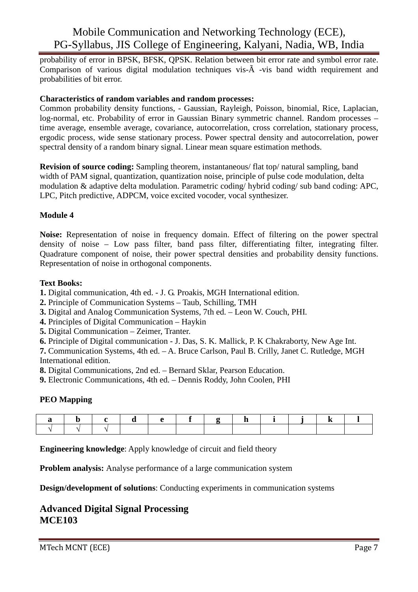probability of error in BPSK, BFSK, QPSK. Relation between bit error rate and symbol error rate. Comparison of various digital modulation techniques vis-Ã -vis band width requirement and probabilities of bit error.

### **Characteristics of random variables and random processes:**

Common probability density functions, - Gaussian, Rayleigh, Poisson, binomial, Rice, Laplacian, log-normal, etc. Probability of error in Gaussian Binary symmetric channel. Random processes – time average, ensemble average, covariance, autocorrelation, cross correlation, stationary process, ergodic process, wide sense stationary process. Power spectral density and autocorrelation, power spectral density of a random binary signal. Linear mean square estimation methods.

**Revision of source coding:** Sampling theorem, instantaneous/ flat top/ natural sampling, band width of PAM signal, quantization, quantization noise, principle of pulse code modulation, delta modulation & adaptive delta modulation. Parametric coding/ hybrid coding/ sub band coding: APC, LPC, Pitch predictive, ADPCM, voice excited vocoder, vocal synthesizer.

# **Module 4**

**Noise:** Representation of noise in frequency domain. Effect of filtering on the power spectral density of noise – Low pass filter, band pass filter, differentiating filter, integrating filter. Quadrature component of noise, their power spectral densities and probability density functions. Representation of noise in orthogonal components.

### **Text Books:**

- **1.** Digital communication, 4th ed. J. G. Proakis, MGH International edition.
- **2.** Principle of Communication Systems Taub, Schilling, TMH
- **3.** Digital and Analog Communication Systems, 7th ed. Leon W. Couch, PHI.
- **4.** Principles of Digital Communication Haykin
- **5.** Digital Communication Zeimer, Tranter.
- **6.** Principle of Digital communication J. Das, S. K. Mallick, P. K Chakraborty, New Age Int.

**7.** Communication Systems, 4th ed. – A. Bruce Carlson, Paul B. Crilly, Janet C. Rutledge, MGH International edition.

**8.** Digital Communications, 2nd ed. – Bernard Sklar, Pearson Education.

**9.** Electronic Communications, 4th ed. – Dennis Roddy, John Coolen, PHI

# **PEO Mapping**

**Engineering knowledge**: Apply knowledge of circuit and field theory

**Problem analysis:** Analyse performance of a large communication system

**Design/development of solutions**: Conducting experiments in communication systems

# **Advanced Digital Signal Processing MCE103**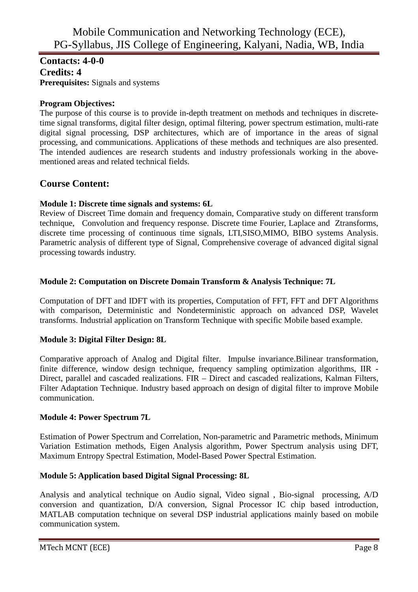# **Contacts: 4-0-0 Credits: 4 Prerequisites:** Signals and systems

# **Program Objectives:**

The purpose of this course is to provide in-depth treatment on methods and techniques in discretetime signal transforms, digital filter design, optimal filtering, power spectrum estimation, multi-rate digital signal processing, DSP architectures, which are of importance in the areas of signal processing, and communications. Applications of these methods and techniques are also presented. The intended audiences are research students and industry professionals working in the abovementioned areas and related technical fields.

# **Course Content:**

# **Module 1: Discrete time signals and systems: 6L**

Review of Discreet Time domain and frequency domain, Comparative study on different transform technique, Convolution and frequency response. Discrete time Fourier, Laplace and Ztransforms, discrete time processing of continuous time signals, LTI,SISO,MIMO, BIBO systems Analysis. Parametric analysis of different type of Signal, Comprehensive coverage of advanced digital signal processing towards industry.

# **Module 2: Computation on Discrete Domain Transform & Analysis Technique: 7L**

Computation of DFT and IDFT with its properties, Computation of FFT, FFT and DFT Algorithms with comparison, Deterministic and Nondeterministic approach on advanced DSP, Wavelet transforms. Industrial application on Transform Technique with specific Mobile based example.

# **Module 3: Digital Filter Design: 8L**

Comparative approach of Analog and Digital filter. Impulse invariance.Bilinear transformation, finite difference, window design technique, frequency sampling optimization algorithms, IIR - Direct, parallel and cascaded realizations. FIR – Direct and cascaded realizations, Kalman Filters, Filter Adaptation Technique. Industry based approach on design of digital filter to improve Mobile communication.

# **Module 4: Power Spectrum 7L**

Estimation of Power Spectrum and Correlation, Non-parametric and Parametric methods, Minimum Variation Estimation methods, Eigen Analysis algorithm, Power Spectrum analysis using DFT, Maximum Entropy Spectral Estimation, Model-Based Power Spectral Estimation.

# **Module 5: Application based Digital Signal Processing: 8L**

Analysis and analytical technique on Audio signal, Video signal , Bio-signal processing, A/D conversion and quantization, D/A conversion, Signal Processor IC chip based introduction, MATLAB computation technique on several DSP industrial applications mainly based on mobile communication system.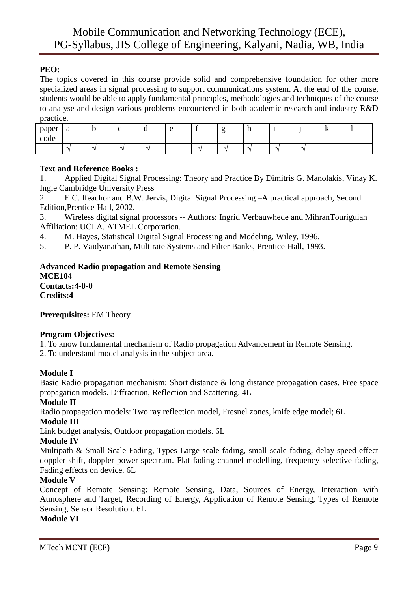# **PEO:**

The topics covered in this course provide solid and comprehensive foundation for other more specialized areas in signal processing to support communications system. At the end of the course, students would be able to apply fundamental principles, methodologies and techniques of the course to analyse and design various problems encountered in both academic research and industry R&D practice.

| paper<br>л.<br>code | $\Omega$<br>a | ъ.<br>◡ | ╭<br>ັ | ิน                       | ≏ | $\overline{\phantom{a}}$ | . . | $\mathbf{H}$ |  | -17 |  |
|---------------------|---------------|---------|--------|--------------------------|---|--------------------------|-----|--------------|--|-----|--|
|                     |               |         |        | $\overline{\phantom{a}}$ |   | -                        | ∽   | ٠            |  |     |  |

### **Text and Reference Books :**

1. Applied Digital Signal Processing: Theory and Practice By Dimitris G. Manolakis, Vinay K. Ingle Cambridge University Press

2. E.C. Ifeachor and B.W. Jervis, Digital Signal Processing –A practical approach, Second Edition,Prentice-Hall, 2002.

3. Wireless digital signal processors -- Authors: Ingrid Verbauwhede and MihranTouriguian Affiliation: UCLA, ATMEL Corporation.

4. M. Hayes, Statistical Digital Signal Processing and Modeling, Wiley, 1996.

5. P. P. Vaidyanathan, Multirate Systems and Filter Banks, Prentice-Hall, 1993.

### **Advanced Radio propagation and Remote Sensing MCE104 Contacts:4-0-0 Credits:4**

**Prerequisites:** EM Theory

# **Program Objectives:**

1. To know fundamental mechanism of Radio propagation Advancement in Remote Sensing.

2. To understand model analysis in the subject area.

### **Module I**

Basic Radio propagation mechanism: Short distance & long distance propagation cases. Free space propagation models. Diffraction, Reflection and Scattering. 4L

### **Module II**

Radio propagation models: Two ray reflection model, Fresnel zones, knife edge model; 6L

### **Module III**

Link budget analysis, Outdoor propagation models. 6L

### **Module IV**

Multipath & Small-Scale Fading, Types Large scale fading, small scale fading, delay speed effect doppler shift, doppler power spectrum. Flat fading channel modelling, frequency selective fading, Fading effects on device. 6L

### **Module V**

Concept of Remote Sensing: Remote Sensing, Data, Sources of Energy, Interaction with Atmosphere and Target, Recording of Energy, Application of Remote Sensing, Types of Remote Sensing, Sensor Resolution. 6L

### **Module VI**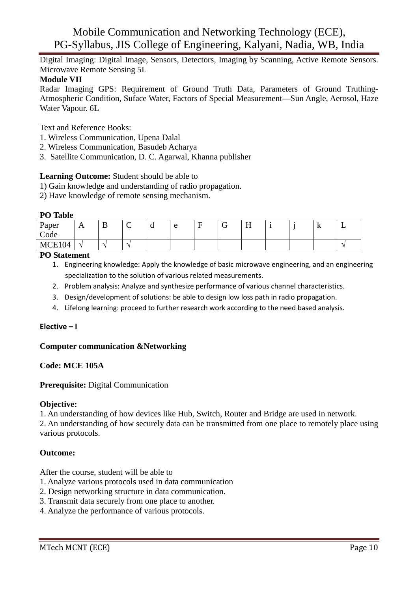Digital Imaging: Digital Image, Sensors, Detectors, Imaging by Scanning, Active Remote Sensors. Microwave Remote Sensing 5L

### **Module VII**

Radar Imaging GPS: Requirement of Ground Truth Data, Parameters of Ground Truthing-Atmospheric Condition, Suface Water, Factors of Special Measurement—Sun Angle, Aerosol, Haze Water Vapour. 6L

Text and Reference Books:

- 1. Wireless Communication, Upena Dalal
- 2. Wireless Communication, Basudeb Acharya
- 3. Satellite Communication, D. C. Agarwal, Khanna publisher

### **Learning Outcome:** Student should be able to

- 1) Gain knowledge and understanding of radio propagation.
- 2) Have knowledge of remote sensing mechanism.

#### **PO Table**

| Paper<br>Code | $\mathbf{L}$             | ≖ | . . | u |  | ∼ | $ -$<br>ட<br><b>TT</b> |  | -17 | ∸ |
|---------------|--------------------------|---|-----|---|--|---|------------------------|--|-----|---|
| MCE104<br>∸≀∗ | $\overline{\phantom{a}}$ |   |     |   |  |   |                        |  |     |   |

#### **PO Statement**

- 1. Engineering knowledge: Apply the knowledge of basic microwave engineering, and an engineering specialization to the solution of various related measurements.
- 2. Problem analysis: Analyze and synthesize performance of various channel characteristics.
- 3. Design/development of solutions: be able to design low loss path in radio propagation.
- 4. Lifelong learning: proceed to further research work according to the need based analysis.

### **Elective – I**

### **Computer communication &Networking**

### **Code: MCE 105A**

### **Prerequisite:** Digital Communication

### **Objective:**

1. An understanding of how devices like Hub, Switch, Router and Bridge are used in network.

2. An understanding of how securely data can be transmitted from one place to remotely place using various protocols.

### **Outcome:**

After the course, student will be able to

- 1. Analyze various protocols used in data communication
- 2. Design networking structure in data communication.
- 3. Transmit data securely from one place to another.
- 4. Analyze the performance of various protocols.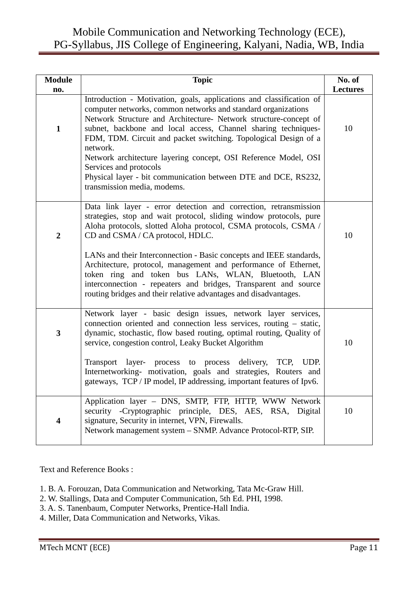| <b>Module</b><br>no.    | <b>Topic</b>                                                                                                                                                                                                                                                                                                                                                                                                                                                                                                                                                                          | No. of<br><b>Lectures</b> |
|-------------------------|---------------------------------------------------------------------------------------------------------------------------------------------------------------------------------------------------------------------------------------------------------------------------------------------------------------------------------------------------------------------------------------------------------------------------------------------------------------------------------------------------------------------------------------------------------------------------------------|---------------------------|
| $\mathbf{1}$            | Introduction - Motivation, goals, applications and classification of<br>computer networks, common networks and standard organizations<br>Network Structure and Architecture- Network structure-concept of<br>subnet, backbone and local access, Channel sharing techniques-<br>FDM, TDM. Circuit and packet switching. Topological Design of a<br>network.<br>Network architecture layering concept, OSI Reference Model, OSI<br>Services and protocols<br>Physical layer - bit communication between DTE and DCE, RS232,<br>transmission media, modems.                              | 10                        |
| $\overline{2}$          | Data link layer - error detection and correction, retransmission<br>strategies, stop and wait protocol, sliding window protocols, pure<br>Aloha protocols, slotted Aloha protocol, CSMA protocols, CSMA /<br>CD and CSMA / CA protocol, HDLC.<br>LANs and their Interconnection - Basic concepts and IEEE standards,<br>Architecture, protocol, management and performance of Ethernet,<br>token ring and token bus LANs, WLAN, Bluetooth, LAN<br>interconnection - repeaters and bridges, Transparent and source<br>routing bridges and their relative advantages and disadvantages. | 10                        |
| 3                       | Network layer - basic design issues, network layer services,<br>connection oriented and connection less services, routing – static,<br>dynamic, stochastic, flow based routing, optimal routing, Quality of<br>service, congestion control, Leaky Bucket Algorithm<br>TCP,<br>UDP.<br>Transport<br>layer-<br>process to process delivery,<br>Internetworking- motivation, goals and strategies, Routers and<br>gateways, TCP / IP model, IP addressing, important features of Ipv6.                                                                                                   | 10                        |
| $\overline{\mathbf{4}}$ | Application layer - DNS, SMTP, FTP, HTTP, WWW Network<br>security -Cryptographic principle, DES, AES, RSA, Digital<br>signature, Security in internet, VPN, Firewalls.<br>Network management system - SNMP. Advance Protocol-RTP, SIP.                                                                                                                                                                                                                                                                                                                                                | 10                        |

Text and Reference Books :

- 1. B. A. Forouzan, Data Communication and Networking, Tata Mc-Graw Hill.
- 2. W. Stallings, Data and Computer Communication, 5th Ed. PHI, 1998.
- 3. A. S. Tanenbaum, Computer Networks, Prentice-Hall India.
- 4. Miller, Data Communication and Networks, Vikas.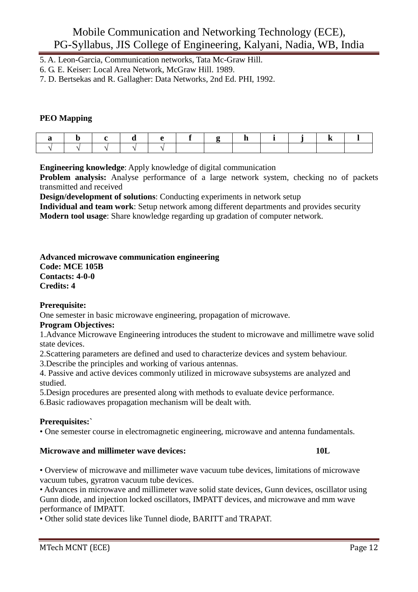- 5. A. Leon-Garcia, Communication networks, Tata Mc-Graw Hill.
- 6. G. E. Keiser: Local Area Network, McGraw Hill. 1989.
- 7. D. Bertsekas and R. Gallagher: Data Networks, 2nd Ed. PHI, 1992.

### **PEO Mapping**

**Engineering knowledge**: Apply knowledge of digital communication

**Problem analysis:** Analyse performance of a large network system, checking no of packets transmitted and received

**Design/development of solutions**: Conducting experiments in network setup

**Individual and team work**: Setup network among different departments and provides security **Modern tool usage**: Share knowledge regarding up gradation of computer network.

### **Advanced microwave communication engineering**

**Code: MCE 105B Contacts: 4-0-0 Credits: 4** 

# **Prerequisite:**

One semester in basic microwave engineering, propagation of microwave.

# **Program Objectives:**

1.Advance Microwave Engineering introduces the student to microwave and millimetre wave solid state devices.

2.Scattering parameters are defined and used to characterize devices and system behaviour.

3.Describe the principles and working of various antennas.

4. Passive and active devices commonly utilized in microwave subsystems are analyzed and studied.

5.Design procedures are presented along with methods to evaluate device performance. 6.Basic radiowaves propagation mechanism will be dealt with.

# **Prerequisites:`**

• One semester course in electromagnetic engineering, microwave and antenna fundamentals.

### **Microwave and millimeter wave devices:** 10L

• Overview of microwave and millimeter wave vacuum tube devices, limitations of microwave vacuum tubes, gyratron vacuum tube devices.

• Advances in microwave and millimeter wave solid state devices, Gunn devices, oscillator using Gunn diode, and injection locked oscillators, IMPATT devices, and microwave and mm wave performance of IMPATT.

• Other solid state devices like Tunnel diode, BARITT and TRAPAT.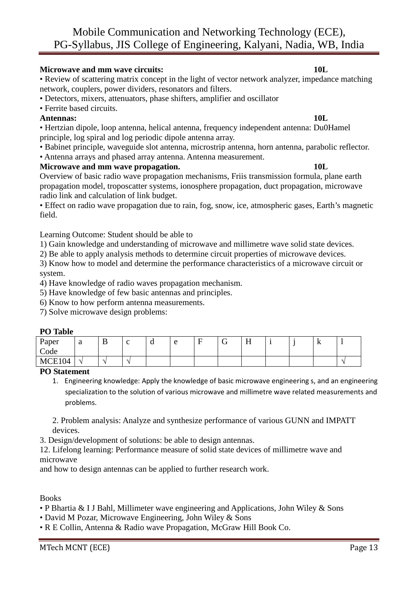# **Microwave and mm wave circuits:** 10L **10L**

• Review of scattering matrix concept in the light of vector network analyzer, impedance matching network, couplers, power dividers, resonators and filters.

- Detectors, mixers, attenuators, phase shifters, amplifier and oscillator
- Ferrite based circuits.

### **Antennas: 10L**

• Hertzian dipole, loop antenna, helical antenna, frequency independent antenna: Du0Hamel principle, log spiral and log periodic dipole antenna array.

- Babinet principle, waveguide slot antenna, microstrip antenna, horn antenna, parabolic reflector.
- Antenna arrays and phased array antenna. Antenna measurement.

# **Microwave and mm wave propagation.** 10L

Overview of basic radio wave propagation mechanisms, Friis transmission formula, plane earth propagation model, troposcatter systems, ionosphere propagation, duct propagation, microwave radio link and calculation of link budget.

• Effect on radio wave propagation due to rain, fog, snow, ice, atmospheric gases, Earth's magnetic field.

Learning Outcome: Student should be able to

1) Gain knowledge and understanding of microwave and millimetre wave solid state devices.

2) Be able to apply analysis methods to determine circuit properties of microwave devices.

3) Know how to model and determine the performance characteristics of a microwave circuit or system.

4) Have knowledge of radio waves propagation mechanism.

5) Have knowledge of few basic antennas and principles.

6) Know to how perform antenna measurements.

7) Solve microwave design problems:

### **PO Table**

| Paper<br>$\mathbf{r}$<br>Code | $\Omega$<br>u | ് | ∼                        | u | $\Delta$<br>∼ | $\overline{\phantom{0}}$ | $- -$<br>TT. |  | TZ. |  |
|-------------------------------|---------------|---|--------------------------|---|---------------|--------------------------|--------------|--|-----|--|
| MCE104                        |               |   | $\overline{\phantom{a}}$ |   |               |                          |              |  |     |  |

### **PO Statement**

1. Engineering knowledge: Apply the knowledge of basic microwave engineering s, and an engineering specialization to the solution of various microwave and millimetre wave related measurements and problems.

2. Problem analysis: Analyze and synthesize performance of various GUNN and IMPATT devices.

3. Design/development of solutions: be able to design antennas.

12. Lifelong learning: Performance measure of solid state devices of millimetre wave and microwave

and how to design antennas can be applied to further research work.

Books

- P Bhartia & I J Bahl, Millimeter wave engineering and Applications, John Wiley & Sons
- David M Pozar, Microwave Engineering, John Wiley & Sons
- R E Collin, Antenna & Radio wave Propagation, McGraw Hill Book Co.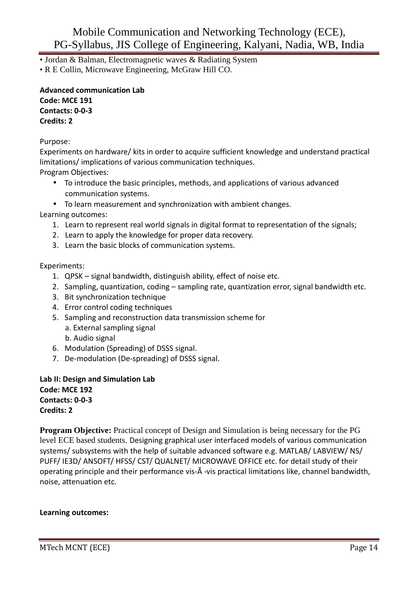• Jordan & Balman, Electromagnetic waves & Radiating System

• R E Collin, Microwave Engineering, McGraw Hill CO.

**Advanced communication Lab Code: MCE 191 Contacts: 0-0-3 Credits: 2** 

Purpose:

Experiments on hardware/ kits in order to acquire sufficient knowledge and understand practical limitations/ implications of various communication techniques.

Program Objectives:

- To introduce the basic principles, methods, and applications of various advanced communication systems.
- To learn measurement and synchronization with ambient changes.

Learning outcomes:

- 1. Learn to represent real world signals in digital format to representation of the signals;
- 2. Learn to apply the knowledge for proper data recovery.
- 3. Learn the basic blocks of communication systems.

Experiments:

- 1. QPSK signal bandwidth, distinguish ability, effect of noise etc.
- 2. Sampling, quantization, coding sampling rate, quantization error, signal bandwidth etc.
- 3. Bit synchronization technique
- 4. Error control coding techniques
- 5. Sampling and reconstruction data transmission scheme for a. External sampling signal b. Audio signal
- 6. Modulation (Spreading) of DSSS signal.
- 7. De-modulation (De-spreading) of DSSS signal.

**Lab II: Design and Simulation Lab Code: MCE 192 Contacts: 0-0-3 Credits: 2** 

**Program Objective:** Practical concept of Design and Simulation is being necessary for the PG level ECE based students. Designing graphical user interfaced models of various communication systems/ subsystems with the help of suitable advanced software e.g. MATLAB/ LABVIEW/ NS/ PUFF/ IE3D/ ANSOFT/ HFSS/ CST/ QUALNET/ MICROWAVE OFFICE etc. for detail study of their operating principle and their performance vis-Ã -vis practical limitations like, channel bandwidth, noise, attenuation etc.

# **Learning outcomes:**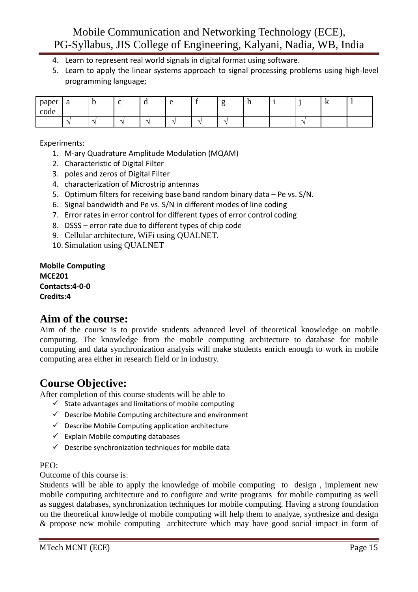- 4. Learn to represent real world signals in digital format using software.
- 5. Learn to apply the linear systems approach to signal processing problems using high-level programming language;

| paper<br>code | <sub>a</sub> |  | ս                        | ∼ | ె | $\mathbf{H}$ |  | v |  |
|---------------|--------------|--|--------------------------|---|---|--------------|--|---|--|
|               |              |  | $\overline{\phantom{a}}$ | - |   |              |  |   |  |

Experiments:

- 1. M-ary Quadrature Amplitude Modulation (MQAM)
- 2. Characteristic of Digital Filter
- 3. poles and zeros of Digital Filter
- 4. characterization of Microstrip antennas
- 5. Optimum filters for receiving base band random binary data Pe vs. S/N.
- 6. Signal bandwidth and Pe vs. S/N in different modes of line coding
- 7. Error rates in error control for different types of error control coding
- 8. DSSS error rate due to different types of chip code
- 9. Cellular architecture, WiFi using QUALNET.
- 10. Simulation using QUALNET

**Mobile Computing MCE201 Contacts:4-0-0 Credits:4** 

# **Aim of the course:**

Aim of the course is to provide students advanced level of theoretical knowledge on mobile computing. The knowledge from the mobile computing architecture to database for mobile computing and data synchronization analysis will make students enrich enough to work in mobile computing area either in research field or in industry.

# **Course Objective:**

After completion of this course students will be able to

- $\checkmark$  State advantages and limitations of mobile computing
- $\checkmark$  Describe Mobile Computing architecture and environment
- $\checkmark$  Describe Mobile Computing application architecture
- $\checkmark$  Explain Mobile computing databases
- $\checkmark$  Describe synchronization techniques for mobile data

### PEO:

Outcome of this course is:

Students will be able to apply the knowledge of mobile computing to design , implement new mobile computing architecture and to configure and write programs for mobile computing as well as suggest databases, synchronization techniques for mobile computing. Having a strong foundation on the theoretical knowledge of mobile computing will help them to analyze, synthesize and design & propose new mobile computing architecture which may have good social impact in form of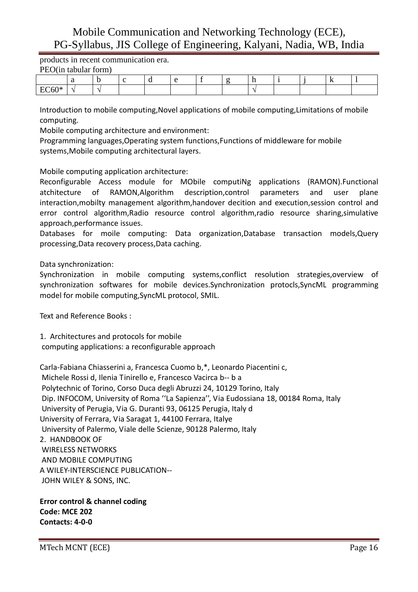products in recent communication era. PEO(in tabular form)

| $1 \text{LU}$ availate form |  |  |  |  |  |     |  |
|-----------------------------|--|--|--|--|--|-----|--|
|                             |  |  |  |  |  | -11 |  |
| TQZQY                       |  |  |  |  |  |     |  |

Introduction to mobile computing,Novel applications of mobile computing,Limitations of mobile computing.

Mobile computing architecture and environment:

Programming languages,Operating system functions,Functions of middleware for mobile systems,Mobile computing architectural layers.

Mobile computing application architecture:

Reconfigurable Access module for MObile computiNg applications (RAMON).Functional atchitecture of RAMON,Algorithm description,control parameters and user plane interaction,mobilty management algorithm,handover decition and execution,session control and error control algorithm,Radio resource control algorithm,radio resource sharing,simulative approach,performance issues.

Databases for moile computing: Data organization,Database transaction models,Query processing,Data recovery process,Data caching.

### Data synchronization:

Synchronization in mobile computing systems,conflict resolution strategies,overview of synchronization softwares for mobile devices.Synchronization protocls,SyncML programming model for mobile computing,SyncML protocol, SMIL.

Text and Reference Books :

1. Architectures and protocols for mobile computing applications: a reconfigurable approach

Carla-Fabiana Chiasserini a, Francesca Cuomo b,\*, Leonardo Piacentini c, Michele Rossi d, Ilenia Tinirello e, Francesco Vacirca b-- b a Polytechnic of Torino, Corso Duca degli Abruzzi 24, 10129 Torino, Italy Dip. INFOCOM, University of Roma ''La Sapienza'', Via Eudossiana 18, 00184 Roma, Italy University of Perugia, Via G. Duranti 93, 06125 Perugia, Italy d University of Ferrara, Via Saragat 1, 44100 Ferrara, Italye University of Palermo, Viale delle Scienze, 90128 Palermo, Italy 2. HANDBOOK OF WIRELESS NETWORKS AND MOBILE COMPUTING A WILEY-INTERSCIENCE PUBLICATION-- JOHN WILEY & SONS, INC.

**Error control & channel coding Code: MCE 202 Contacts: 4-0-0**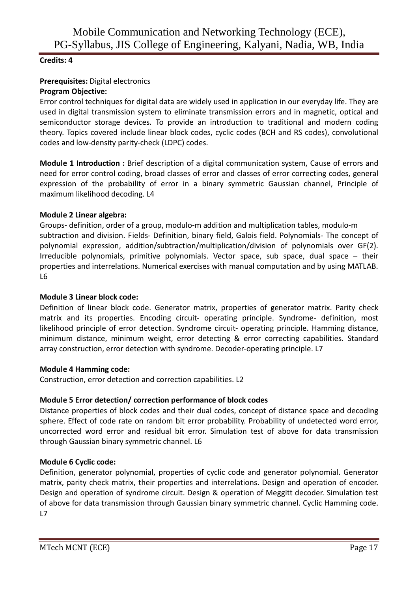# **Credits: 4**

# **Prerequisites:** Digital electronics **Program Objective:**

Error control techniques for digital data are widely used in application in our everyday life. They are used in digital transmission system to eliminate transmission errors and in magnetic, optical and semiconductor storage devices. To provide an introduction to traditional and modern coding theory. Topics covered include linear block codes, cyclic codes (BCH and RS codes), convolutional codes and low-density parity-check (LDPC) codes.

**Module 1 Introduction :** Brief description of a digital communication system, Cause of errors and need for error control coding, broad classes of error and classes of error correcting codes, general expression of the probability of error in a binary symmetric Gaussian channel, Principle of maximum likelihood decoding. L4

# **Module 2 Linear algebra:**

Groups- definition, order of a group, modulo-m addition and multiplication tables, modulo-m subtraction and division. Fields- Definition, binary field, Galois field. Polynomials- The concept of polynomial expression, addition/subtraction/multiplication/division of polynomials over GF(2). Irreducible polynomials, primitive polynomials. Vector space, sub space, dual space – their properties and interrelations. Numerical exercises with manual computation and by using MATLAB. L6

# **Module 3 Linear block code:**

Definition of linear block code. Generator matrix, properties of generator matrix. Parity check matrix and its properties. Encoding circuit- operating principle. Syndrome- definition, most likelihood principle of error detection. Syndrome circuit- operating principle. Hamming distance, minimum distance, minimum weight, error detecting & error correcting capabilities. Standard array construction, error detection with syndrome. Decoder-operating principle. L7

# **Module 4 Hamming code:**

Construction, error detection and correction capabilities. L2

# **Module 5 Error detection/ correction performance of block codes**

Distance properties of block codes and their dual codes, concept of distance space and decoding sphere. Effect of code rate on random bit error probability. Probability of undetected word error, uncorrected word error and residual bit error. Simulation test of above for data transmission through Gaussian binary symmetric channel. L6

# **Module 6 Cyclic code:**

Definition, generator polynomial, properties of cyclic code and generator polynomial. Generator matrix, parity check matrix, their properties and interrelations. Design and operation of encoder. Design and operation of syndrome circuit. Design & operation of Meggitt decoder. Simulation test of above for data transmission through Gaussian binary symmetric channel. Cyclic Hamming code.  $L7$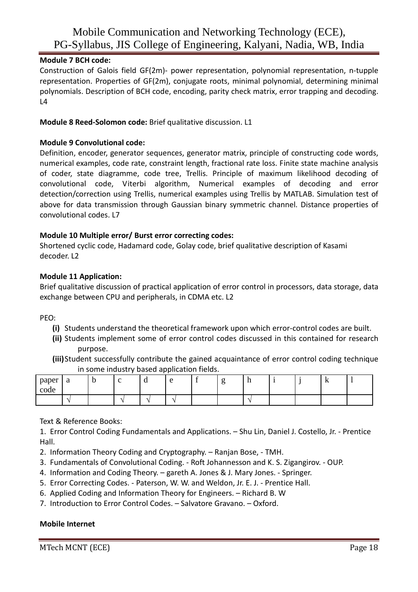# **Module 7 BCH code:**

Construction of Galois field GF(2m)- power representation, polynomial representation, n-tupple representation. Properties of GF(2m), conjugate roots, minimal polynomial, determining minimal polynomials. Description of BCH code, encoding, parity check matrix, error trapping and decoding.  $L4$ 

### **Module 8 Reed-Solomon code:** Brief qualitative discussion. L1

### **Module 9 Convolutional code:**

Definition, encoder, generator sequences, generator matrix, principle of constructing code words, numerical examples, code rate, constraint length, fractional rate loss. Finite state machine analysis of coder, state diagramme, code tree, Trellis. Principle of maximum likelihood decoding of convolutional code, Viterbi algorithm, Numerical examples of decoding and error detection/correction using Trellis, numerical examples using Trellis by MATLAB. Simulation test of above for data transmission through Gaussian binary symmetric channel. Distance properties of convolutional codes. L7

### **Module 10 Multiple error/ Burst error correcting codes:**

Shortened cyclic code, Hadamard code, Golay code, brief qualitative description of Kasami decoder. L2

### **Module 11 Application:**

Brief qualitative discussion of practical application of error control in processors, data storage, data exchange between CPU and peripherals, in CDMA etc. L2

PEO:

- **(i)** Students understand the theoretical framework upon which error-control codes are built.
- **(ii)** Students implement some of error control codes discussed in this contained for research purpose.
- **(iii)**Student successfully contribute the gained acquaintance of error control coding technique in some industry based application fields.

| paper<br>$\mathbf{r}$<br>$\overline{\phantom{a}}$<br>code | a | U | ⌒                        | u      | $\Omega$ |  | . |  | v. |  |
|-----------------------------------------------------------|---|---|--------------------------|--------|----------|--|---|--|----|--|
|                                                           | - |   | $\overline{\phantom{a}}$ | $\sim$ |          |  |   |  |    |  |

# Text & Reference Books:

1. Error Control Coding Fundamentals and Applications. – Shu Lin, Daniel J. Costello, Jr. - Prentice Hall.

- 2. Information Theory Coding and Cryptography. Ranjan Bose, TMH.
- 3. Fundamentals of Convolutional Coding. Roft Johannesson and K. S. Zigangirov. OUP.
- 4. Information and Coding Theory. gareth A. Jones & J. Mary Jones. Springer.
- 5. Error Correcting Codes. Paterson, W. W. and Weldon, Jr. E. J. Prentice Hall.
- 6. Applied Coding and Information Theory for Engineers. Richard B. W
- 7. Introduction to Error Control Codes. Salvatore Gravano. Oxford.

### **Mobile Internet**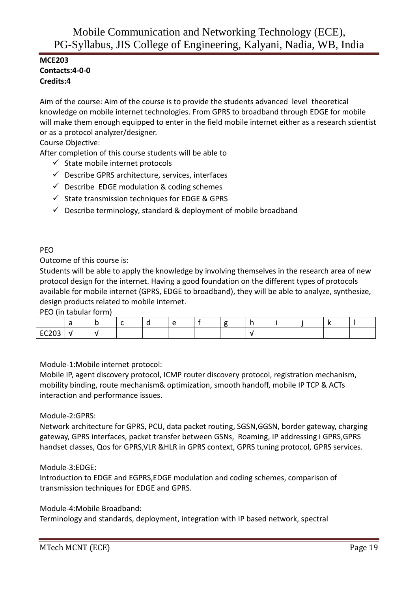# **MCE203 Contacts:4-0-0 Credits:4**

Aim of the course: Aim of the course is to provide the students advanced level theoretical knowledge on mobile internet technologies. From GPRS to broadband through EDGE for mobile will make them enough equipped to enter in the field mobile internet either as a research scientist or as a protocol analyzer/designer.

Course Objective:

After completion of this course students will be able to

- $\checkmark$  State mobile internet protocols
- $\checkmark$  Describe GPRS architecture, services, interfaces
- $\checkmark$  Describe EDGE modulation & coding schemes
- $\checkmark$  State transmission techniques for EDGE & GPRS
- $\checkmark$  Describe terminology, standard & deployment of mobile broadband

### PEO

Outcome of this course is:

Students will be able to apply the knowledge by involving themselves in the research area of new protocol design for the internet. Having a good foundation on the different types of protocols available for mobile internet (GPRS, EDGE to broadband), they will be able to analyze, synthesize, design products related to mobile internet.

PEO (in tabular form)

| $F^{\sim}$ |  |  |  |  |  |  |
|------------|--|--|--|--|--|--|

Module-1:Mobile internet protocol:

Mobile IP, agent discovery protocol, ICMP router discovery protocol, registration mechanism, mobility binding, route mechanism& optimization, smooth handoff, mobile IP TCP & ACTs interaction and performance issues.

### Module-2:GPRS:

Network architecture for GPRS, PCU, data packet routing, SGSN,GGSN, border gateway, charging gateway, GPRS interfaces, packet transfer between GSNs, Roaming, IP addressing i GPRS,GPRS handset classes, Qos for GPRS,VLR &HLR in GPRS context, GPRS tuning protocol, GPRS services.

### Module-3:EDGE:

Introduction to EDGE and EGPRS,EDGE modulation and coding schemes, comparison of transmission techniques for EDGE and GPRS.

Module-4:Mobile Broadband:

Terminology and standards, deployment, integration with IP based network, spectral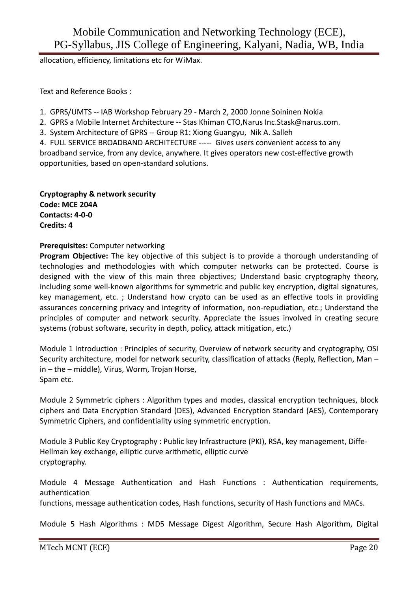allocation, efficiency, limitations etc for WiMax.

Text and Reference Books :

1. GPRS/UMTS -- IAB Workshop February 29 - March 2, 2000 Jonne Soininen Nokia

- 2. GPRS a Mobile Internet Architecture -- Stas Khiman CTO,Narus Inc.Stask@narus.com.
- 3. System Architecture of GPRS -- Group R1: Xiong Guangyu, Nik A. Salleh

4. FULL SERVICE BROADBAND ARCHITECTURE ----- Gives users convenient access to any broadband service, from any device, anywhere. It gives operators new cost-effective growth opportunities, based on open-standard solutions.

**Cryptography & network security Code: MCE 204A Contacts: 4-0-0 Credits: 4**

# **Prerequisites:** Computer networking

**Program Objective:** The key objective of this subject is to provide a thorough understanding of technologies and methodologies with which computer networks can be protected. Course is designed with the view of this main three objectives; Understand basic cryptography theory, including some well-known algorithms for symmetric and public key encryption, digital signatures, key management, etc. ; Understand how crypto can be used as an effective tools in providing assurances concerning privacy and integrity of information, non-repudiation, etc.; Understand the principles of computer and network security. Appreciate the issues involved in creating secure systems (robust software, security in depth, policy, attack mitigation, etc.)

Module 1 Introduction : Principles of security, Overview of network security and cryptography, OSI Security architecture, model for network security, classification of attacks (Reply, Reflection, Man – in – the – middle), Virus, Worm, Trojan Horse, Spam etc.

Module 2 Symmetric ciphers : Algorithm types and modes, classical encryption techniques, block ciphers and Data Encryption Standard (DES), Advanced Encryption Standard (AES), Contemporary Symmetric Ciphers, and confidentiality using symmetric encryption.

Module 3 Public Key Cryptography : Public key Infrastructure (PKI), RSA, key management, Diffe-Hellman key exchange, elliptic curve arithmetic, elliptic curve cryptography.

Module 4 Message Authentication and Hash Functions : Authentication requirements, authentication

functions, message authentication codes, Hash functions, security of Hash functions and MACs.

Module 5 Hash Algorithms : MD5 Message Digest Algorithm, Secure Hash Algorithm, Digital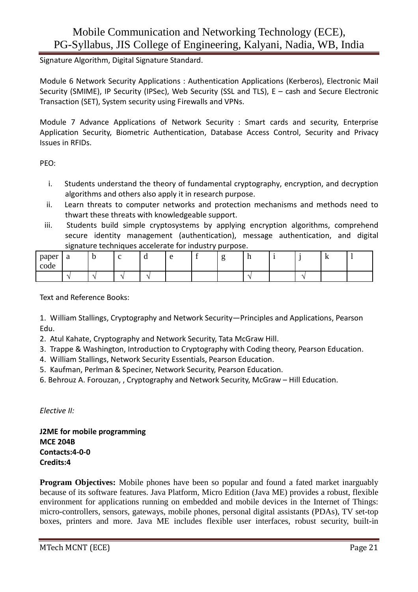Signature Algorithm, Digital Signature Standard.

Module 6 Network Security Applications : Authentication Applications (Kerberos), Electronic Mail Security (SMIME), IP Security (IPSec), Web Security (SSL and TLS), E – cash and Secure Electronic Transaction (SET), System security using Firewalls and VPNs.

Module 7 Advance Applications of Network Security : Smart cards and security, Enterprise Application Security, Biometric Authentication, Database Access Control, Security and Privacy Issues in RFIDs.

PEO:

- i. Students understand the theory of fundamental cryptography, encryption, and decryption algorithms and others also apply it in research purpose.
- ii. Learn threats to computer networks and protection mechanisms and methods need to thwart these threats with knowledgeable support.
- iii. Students build simple cryptosystems by applying encryption algorithms, comprehend secure identity management (authentication), message authentication, and digital signature techniques accelerate for industry purpose.

| paper<br>$\overline{\phantom{a}}$<br>$\sim$<br>code | $\Omega$<br>a |          |                          | u | $\sim$ | $\sim$ | -11 |  | . .<br>17 |  |
|-----------------------------------------------------|---------------|----------|--------------------------|---|--------|--------|-----|--|-----------|--|
|                                                     |               | <b>A</b> | $\overline{\phantom{a}}$ | - |        |        |     |  |           |  |

Text and Reference Books:

1. William Stallings, Cryptography and Network Security—Principles and Applications, Pearson Edu.

2. Atul Kahate, Cryptography and Network Security, Tata McGraw Hill.

- 3. Trappe & Washington, Introduction to Cryptography with Coding theory, Pearson Education.
- 4. William Stallings, Network Security Essentials, Pearson Education.
- 5. Kaufman, Perlman & Speciner, Network Security, Pearson Education.
- 6. Behrouz A. Forouzan, , Cryptography and Network Security, McGraw Hill Education.

*Elective II:* 

**J2ME for mobile programming MCE 204B Contacts:4-0-0 Credits:4**

**Program Objectives:** Mobile phones have been so popular and found a fated market inarguably because of its software features. Java Platform, Micro Edition (Java ME) provides a robust, flexible environment for applications running on embedded and mobile devices in the Internet of Things: micro-controllers, sensors, gateways, mobile phones, personal digital assistants (PDAs), TV set-top boxes, printers and more. Java ME includes flexible user interfaces, robust security, built-in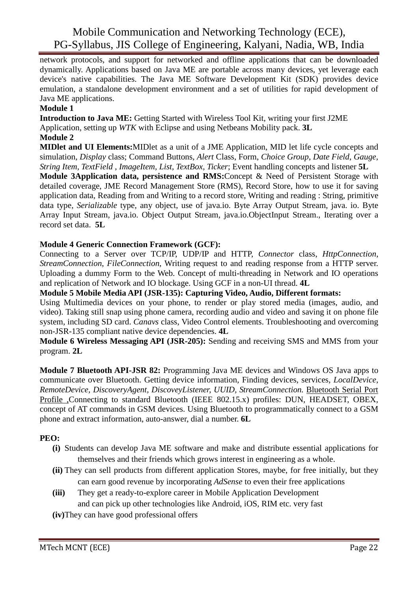network protocols, and support for networked and offline applications that can be downloaded dynamically. Applications based on Java ME are portable across many devices, yet leverage each device's native capabilities. The Java ME Software Development Kit (SDK) provides device emulation, a standalone development environment and a set of utilities for rapid development of Java ME applications.

### **Module 1**

**Introduction to Java ME:** Getting Started with Wireless Tool Kit, writing your first J2ME Application, setting up *WTK* with Eclipse and using Netbeans Mobility pack. **3L**

### **Module 2**

**MIDlet and UI Elements:**MIDlet as a unit of a JME Application, MID let life cycle concepts and simulation, *Display* class; Command Buttons, *Alert* Class, Form, *Choice Group*, *Date Field*, *Gauge, String Item, TextField , ImageItem, List, TextBox, Ticker*; Event handling concepts and listener **5L** 

**Module 3Application data, persistence and RMS:**Concept & Need of Persistent Storage with detailed coverage, JME Record Management Store (RMS), Record Store, how to use it for saving application data, Reading from and Writing to a record store, Writing and reading : String, primitive data type, *Serializable* type, any object, use of java.io. Byte Array Output Stream, java. io. Byte Array Input Stream, java.io. Object Output Stream, java.io.ObjectInput Stream., Iterating over a record set data. **5L** 

# **Module 4 Generic Connection Framework (GCF):**

Connecting to a Server over TCP/IP, UDP/IP and HTTP, *Connector* class, *HttpConnection*, *StreamConnection*, *FileConnection*, Writing request to and reading response from a HTTP server. Uploading a dummy Form to the Web. Concept of multi-threading in Network and IO operations and replication of Network and IO blockage. Using GCF in a non-UI thread. **4L** 

# **Module 5 Mobile Media API (JSR-135): Capturing Video, Audio, Different formats:**

Using Multimedia devices on your phone, to render or play stored media (images, audio, and video). Taking still snap using phone camera, recording audio and video and saving it on phone file system, including SD card. *Canavs* class, Video Control elements. Troubleshooting and overcoming non-JSR-135 compliant native device dependencies. **4L** 

**Module 6 Wireless Messaging API (JSR-205):** Sending and receiving SMS and MMS from your program. **2L** 

**Module 7 Bluetooth API-JSR 82:** Programming Java ME devices and Windows OS Java apps to communicate over Bluetooth. Getting device information, Finding devices, services, *LocalDevice, RemoteDevice, DiscoveryAgent, DiscoveyListener, UUID, StreamConnection.* Bluetooth Serial Port Profile ,Connecting to standard Bluetooth (IEEE 802.15.x) profiles: DUN, HEADSET, OBEX, concept of AT commands in GSM devices. Using Bluetooth to programmatically connect to a GSM phone and extract information, auto-answer, dial a number. **6L** 

# **PEO:**

- **(i)** Students can develop Java ME software and make and distribute essential applications for themselves and their friends which grows interest in engineering as a whole.
- **(ii)** They can sell products from different application Stores, maybe, for free initially, but they can earn good revenue by incorporating *AdSense* to even their free applications
- **(iii)** They get a ready-to-explore career in Mobile Application Development and can pick up other technologies like Android, iOS, RIM etc. very fast
- **(iv)**They can have good professional offers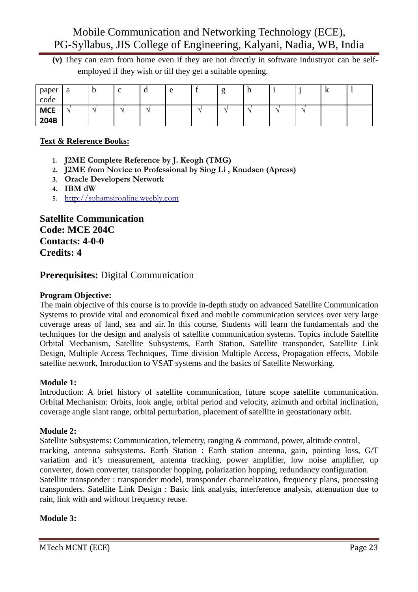**(v)** They can earn from home even if they are not directly in software industryor can be selfemployed if they wish or till they get a suitable opening.

| paper<br>code      | a             | ◡ | $\sim$<br>◡ | $\mathbf u$   | e | ਠ | $\mathbf{H}$ | ◡ | v |  |
|--------------------|---------------|---|-------------|---------------|---|---|--------------|---|---|--|
| <b>MCE</b><br>204B | $\rightarrow$ |   |             | $\rightarrow$ |   |   |              |   |   |  |

# **Text & Reference Books:**

- **1. J2ME Complete Reference by J. Keogh (TMG)**
- **2. J2ME from Novice to Professional by Sing Li , Knudsen (Apress)**
- **3. Oracle Developers Network**
- **4. IBM dW**
- **5.** http://sohamsironline.weebly.com

**Satellite Communication Code: MCE 204C Contacts: 4-0-0 Credits: 4** 

# **Prerequisites:** Digital Communication

# **Program Objective:**

The main objective of this course is to provide in-depth study on advanced Satellite Communication Systems to provide vital and economical fixed and mobile communication services over very large coverage areas of land, sea and air. In this course, Students will learn the fundamentals and the techniques for the design and analysis of satellite communication systems. Topics include Satellite Orbital Mechanism, Satellite Subsystems, Earth Station, Satellite transponder, Satellite Link Design, Multiple Access Techniques, Time division Multiple Access, Propagation effects, Mobile satellite network, Introduction to VSAT systems and the basics of Satellite Networking.

# **Module 1:**

Introduction: A brief history of satellite communication, future scope satellite communication. Orbital Mechanism: Orbits, look angle, orbital period and velocity, azimuth and orbital inclination, coverage angle slant range, orbital perturbation, placement of satellite in geostationary orbit.

# **Module 2:**

Satellite Subsystems: Communication, telemetry, ranging & command, power, altitude control, tracking, antenna subsystems. Earth Station : Earth station antenna, gain, pointing loss, G/T variation and it's measurement, antenna tracking, power amplifier, low noise amplifier, up converter, down converter, transponder hopping, polarization hopping, redundancy configuration. Satellite transponder : transponder model, transponder channelization, frequency plans, processing transponders. Satellite Link Design : Basic link analysis, interference analysis, attenuation due to rain, link with and without frequency reuse.

# **Module 3:**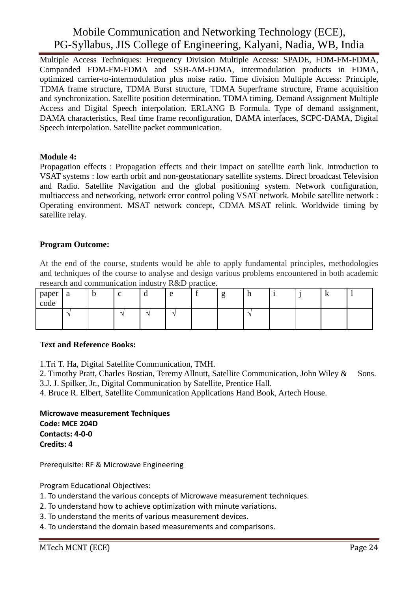Multiple Access Techniques: Frequency Division Multiple Access: SPADE, FDM-FM-FDMA, Companded FDM-FM-FDMA and SSB-AM-FDMA, intermodulation products in FDMA, optimized carrier-to-intermodulation plus noise ratio. Time division Multiple Access: Principle, TDMA frame structure, TDMA Burst structure, TDMA Superframe structure, Frame acquisition and synchronization. Satellite position determination. TDMA timing. Demand Assignment Multiple Access and Digital Speech interpolation. ERLANG B Formula. Type of demand assignment, DAMA characteristics, Real time frame reconfiguration, DAMA interfaces, SCPC-DAMA, Digital Speech interpolation. Satellite packet communication.

### **Module 4:**

Propagation effects : Propagation effects and their impact on satellite earth link. Introduction to VSAT systems : low earth orbit and non-geostationary satellite systems. Direct broadcast Television and Radio. Satellite Navigation and the global positioning system. Network configuration, multiaccess and networking, network error control poling VSAT network. Mobile satellite network : Operating environment. MSAT network concept, CDMA MSAT relink. Worldwide timing by satellite relay.

### **Program Outcome:**

At the end of the course, students would be able to apply fundamental principles, methodologies and techniques of the course to analyse and design various problems encountered in both academic research and communication industry R&D practice.

| paper<br>code | a | $\mathbf b$ |                          | u                        | $\Delta$                 | ے | -11 |  | TZ. |  |
|---------------|---|-------------|--------------------------|--------------------------|--------------------------|---|-----|--|-----|--|
|               |   |             | $\overline{\phantom{a}}$ | $\overline{\phantom{a}}$ | $\overline{\phantom{a}}$ |   |     |  |     |  |

### **Text and Reference Books:**

1.Tri T. Ha, Digital Satellite Communication, TMH.

2. Timothy Pratt, Charles Bostian, Teremy Allnutt, Satellite Communication, John Wiley & Sons. 3.J. J. Spilker, Jr., Digital Communication by Satellite, Prentice Hall.

4. Bruce R. Elbert, Satellite Communication Applications Hand Book, Artech House.

**Microwave measurement Techniques Code: MCE 204D Contacts: 4-0-0 Credits: 4** 

Prerequisite: RF & Microwave Engineering

Program Educational Objectives:

- 1. To understand the various concepts of Microwave measurement techniques.
- 2. To understand how to achieve optimization with minute variations.
- 3. To understand the merits of various measurement devices.
- 4. To understand the domain based measurements and comparisons.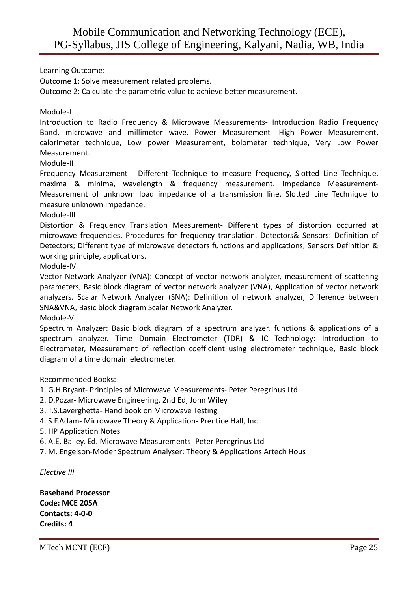Learning Outcome:

Outcome 1: Solve measurement related problems.

Outcome 2: Calculate the parametric value to achieve better measurement.

Module-I

Introduction to Radio Frequency & Microwave Measurements- Introduction Radio Frequency Band, microwave and millimeter wave. Power Measurement- High Power Measurement, calorimeter technique, Low power Measurement, bolometer technique, Very Low Power Measurement.

Module-II

Frequency Measurement - Different Technique to measure frequency, Slotted Line Technique, maxima & minima, wavelength & frequency measurement. Impedance Measurement-Measurement of unknown load impedance of a transmission line, Slotted Line Technique to measure unknown impedance.

Module-III

Distortion & Frequency Translation Measurement- Different types of distortion occurred at microwave frequencies, Procedures for frequency translation. Detectors& Sensors: Definition of Detectors; Different type of microwave detectors functions and applications, Sensors Definition & working principle, applications.

Module-IV

Vector Network Analyzer (VNA): Concept of vector network analyzer, measurement of scattering parameters, Basic block diagram of vector network analyzer (VNA), Application of vector network analyzers. Scalar Network Analyzer (SNA): Definition of network analyzer, Difference between SNA&VNA, Basic block diagram Scalar Network Analyzer.

Module-V

Spectrum Analyzer: Basic block diagram of a spectrum analyzer, functions & applications of a spectrum analyzer. Time Domain Electrometer (TDR) & IC Technology: Introduction to Electrometer, Measurement of reflection coefficient using electrometer technique, Basic block diagram of a time domain electrometer.

Recommended Books:

- 1. G.H.Bryant- Principles of Microwave Measurements- Peter Peregrinus Ltd.
- 2. D.Pozar- Microwave Engineering, 2nd Ed, John Wiley
- 3. T.S.Laverghetta- Hand book on Microwave Testing
- 4. S.F.Adam- Microwave Theory & Application- Prentice Hall, Inc
- 5. HP Application Notes
- 6. A.E. Bailey, Ed. Microwave Measurements- Peter Peregrinus Ltd
- 7. M. Engelson-Moder Spectrum Analyser: Theory & Applications Artech Hous

*Elective III* 

**Baseband Processor Code: MCE 205A Contacts: 4-0-0 Credits: 4**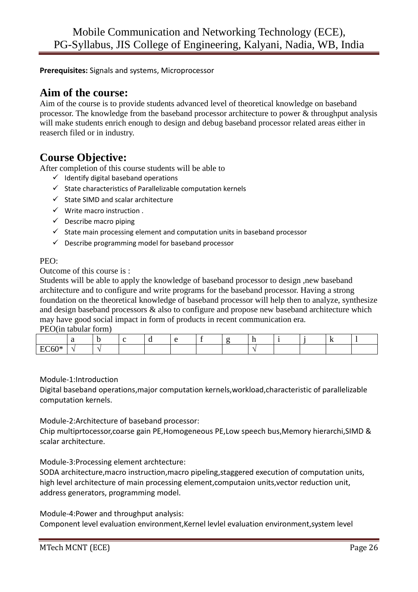**Prerequisites:** Signals and systems, Microprocessor

# **Aim of the course:**

Aim of the course is to provide students advanced level of theoretical knowledge on baseband processor. The knowledge from the baseband processor architecture to power & throughput analysis will make students enrich enough to design and debug baseband processor related areas either in reaserch filed or in industry.

# **Course Objective:**

After completion of this course students will be able to

- $\checkmark$  Identify digital baseband operations
- $\checkmark$  State characteristics of Parallelizable computation kernels
- $\checkmark$  State SIMD and scalar architecture
- $\checkmark$  Write macro instruction.
- $\checkmark$  Describe macro piping
- $\checkmark$  State main processing element and computation units in baseband processor
- $\checkmark$  Describe programming model for baseband processor

### PEO:

Outcome of this course is :

Students will be able to apply the knowledge of baseband processor to design ,new baseband architecture and to configure and write programs for the baseband processor. Having a strong foundation on the theoretical knowledge of baseband processor will help then to analyze, synthesize and design baseband processors & also to configure and propose new baseband architecture which may have good social impact in form of products in recent communication era.

PEO(in tabular form)

|           |  |  |  |  |  | - 72 |  |
|-----------|--|--|--|--|--|------|--|
| ∂∩∪ ∩<br> |  |  |  |  |  |      |  |

### Module-1:Introduction

Digital baseband operations,major computation kernels,workload,characteristic of parallelizable computation kernels.

# Module-2:Architecture of baseband processor:

Chip multiprtocessor,coarse gain PE,Homogeneous PE,Low speech bus,Memory hierarchi,SIMD & scalar architecture.

### Module-3:Processing element archtecture:

SODA architecture,macro instruction,macro pipeling,staggered execution of computation units, high level architecture of main processing element,computaion units,vector reduction unit, address generators, programming model.

Module-4:Power and throughput analysis:

Component level evaluation environment,Kernel levlel evaluation environment,system level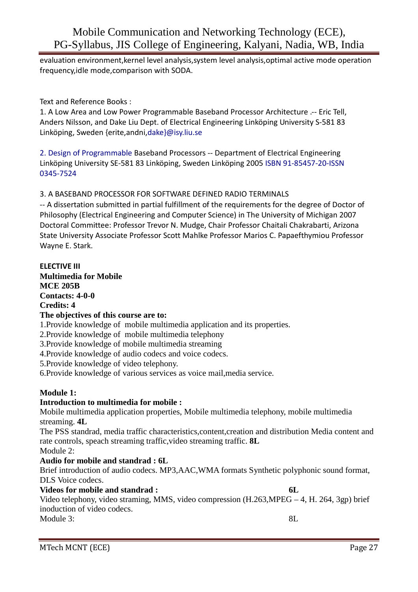evaluation environment,kernel level analysis,system level analysis,optimal active mode operation frequency,idle mode,comparison with SODA.

Text and Reference Books :

1. A Low Area and Low Power Programmable Baseband Processor Architecture .-- Eric Tell, Anders Nilsson, and Dake Liu Dept. of Electrical Engineering Linköping University S-581 83 Linköping, Sweden {erite,andni,dake}@isy.liu.se

2. Design of Programmable Baseband Processors -- Department of Electrical Engineering Linköping University SE-581 83 Linköping, Sweden Linköping 2005 ISBN 91-85457-20-ISSN 0345-7524

### 3. A BASEBAND PROCESSOR FOR SOFTWARE DEFINED RADIO TERMINALS

-- A dissertation submitted in partial fulfillment of the requirements for the degree of Doctor of Philosophy (Electrical Engineering and Computer Science) in The University of Michigan 2007 Doctoral Committee: Professor Trevor N. Mudge, Chair Professor Chaitali Chakrabarti, Arizona State University Associate Professor Scott Mahlke Professor Marios C. Papaefthymiou Professor Wayne E. Stark.

# **ELECTIVE III Multimedia for Mobile MCE 205B Contacts: 4-0-0 Credits: 4 The objectives of this course are to:**  1.Provide knowledge of mobile multimedia application and its properties. 2.Provide knowledge of mobile multimedia telephony 3.Provide knowledge of mobile multimedia streaming 4.Provide knowledge of audio codecs and voice codecs. 5.Provide knowledge of video telephony. 6.Provide knowledge of various services as voice mail,media service. **Module 1: Introduction to multimedia for mobile :**  Mobile multimedia application properties, Mobile multimedia telephony, mobile multimedia streaming. **4L** The PSS standrad, media traffic characteristics,content,creation and distribution Media content and rate controls, speach streaming traffic, video streaming traffic. **8L** Module 2: **Audio for mobile and standrad : 6L**  Brief introduction of audio codecs. MP3,AAC,WMA formats Synthetic polyphonic sound format, DLS Voice codecs.

### **Videos for mobile and standrad : 6L**

Video telephony, video straming, MMS, video compression (H.263,MPEG – 4, H. 264, 3gp) brief inoduction of video codecs. Module 3: 8L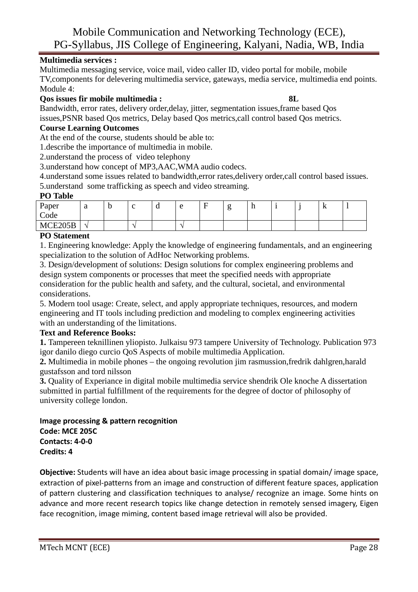# **Multimedia services :**

Multimedia messaging service, voice mail, video caller ID, video portal for mobile, mobile TV,components for delevering multimedia service, gateways, media service, multimedia end points. Module 4:

# **Qos issues fir mobile multimedia : 8L**

Bandwidth, error rates, delivery order,delay, jitter, segmentation issues,frame based Qos issues,PSNR based Qos metrics, Delay based Qos metrics,call control based Qos metrics.

# **Course Learning Outcomes**

At the end of the course, students should be able to:

1.describe the importance of multimedia in mobile.

2.understand the process of video telephony

3.understand how concept of MP3,AAC,WMA audio codecs.

4.understand some issues related to bandwidth,error rates,delivery order,call control based issues. 5.understand some trafficking as speech and video streaming.

### **PO Table**

| Paper<br>$\sqrt{2}$<br>υ<br>-11<br>a<br>T.<br>∼<br>ີ<br>c |  |
|-----------------------------------------------------------|--|
| Code                                                      |  |
| MCE205R<br>10102200D                                      |  |

### **PO Statement**

1. Engineering knowledge: Apply the knowledge of engineering fundamentals, and an engineering specialization to the solution of AdHoc Networking problems.

3. Design/development of solutions: Design solutions for complex engineering problems and design system components or processes that meet the specified needs with appropriate consideration for the public health and safety, and the cultural, societal, and environmental considerations.

5. Modern tool usage: Create, select, and apply appropriate techniques, resources, and modern engineering and IT tools including prediction and modeling to complex engineering activities with an understanding of the limitations.

# **Text and Reference Books:**

**1.** Tampereen teknillinen yliopisto. Julkaisu 973 tampere University of Technology. Publication 973 igor danilo diego curcio QoS Aspects of mobile multimedia Application.

**2.** Multimedia in mobile phones – the ongoing revolution jim rasmussion,fredrik dahlgren,harald gustafsson and tord nilsson

**3.** Quality of Experiance in digital mobile multimedia service shendrik Ole knoche A dissertation submitted in partial fulfillment of the requirements for the degree of doctor of philosophy of university college london.

# **Image processing & pattern recognition Code: MCE 205C Contacts: 4-0-0 Credits: 4**

**Objective:** Students will have an idea about basic image processing in spatial domain/ image space, extraction of pixel-patterns from an image and construction of different feature spaces, application of pattern clustering and classification techniques to analyse/ recognize an image. Some hints on advance and more recent research topics like change detection in remotely sensed imagery, Eigen face recognition, image miming, content based image retrieval will also be provided.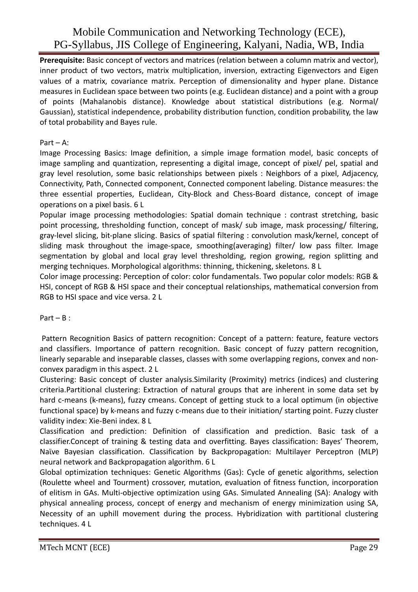**Prerequisite:** Basic concept of vectors and matrices (relation between a column matrix and vector), inner product of two vectors, matrix multiplication, inversion, extracting Eigenvectors and Eigen values of a matrix, covariance matrix. Perception of dimensionality and hyper plane. Distance measures in Euclidean space between two points (e.g. Euclidean distance) and a point with a group of points (Mahalanobis distance). Knowledge about statistical distributions (e.g. Normal/ Gaussian), statistical independence, probability distribution function, condition probability, the law of total probability and Bayes rule.

### Part – A:

Image Processing Basics: Image definition, a simple image formation model, basic concepts of image sampling and quantization, representing a digital image, concept of pixel/ pel, spatial and gray level resolution, some basic relationships between pixels : Neighbors of a pixel, Adjacency, Connectivity, Path, Connected component, Connected component labeling. Distance measures: the three essential properties, Euclidean, City-Block and Chess-Board distance, concept of image operations on a pixel basis. 6 L

Popular image processing methodologies: Spatial domain technique : contrast stretching, basic point processing, thresholding function, concept of mask/ sub image, mask processing/ filtering, gray-level slicing, bit-plane slicing. Basics of spatial filtering : convolution mask/kernel, concept of sliding mask throughout the image-space, smoothing(averaging) filter/ low pass filter. Image segmentation by global and local gray level thresholding, region growing, region splitting and merging techniques. Morphological algorithms: thinning, thickening, skeletons. 8 L

Color image processing: Perception of color: color fundamentals. Two popular color models: RGB & HSI, concept of RGB & HSI space and their conceptual relationships, mathematical conversion from RGB to HSI space and vice versa. 2 L

# Part – B :

 Pattern Recognition Basics of pattern recognition: Concept of a pattern: feature, feature vectors and classifiers. Importance of pattern recognition. Basic concept of fuzzy pattern recognition, linearly separable and inseparable classes, classes with some overlapping regions, convex and nonconvex paradigm in this aspect. 2 L

Clustering: Basic concept of cluster analysis.Similarity (Proximity) metrics (indices) and clustering criteria.Partitional clustering: Extraction of natural groups that are inherent in some data set by hard c-means (k-means), fuzzy cmeans. Concept of getting stuck to a local optimum (in objective functional space) by k-means and fuzzy c-means due to their initiation/ starting point. Fuzzy cluster validity index: Xie-Beni index. 8 L

Classification and prediction: Definition of classification and prediction. Basic task of a classifier.Concept of training & testing data and overfitting. Bayes classification: Bayes' Theorem, Naϊve Bayesian classification. Classification by Backpropagation: Multilayer Perceptron (MLP) neural network and Backpropagation algorithm. 6 L

Global optimization techniques: Genetic Algorithms (Gas): Cycle of genetic algorithms, selection (Roulette wheel and Tourment) crossover, mutation, evaluation of fitness function, incorporation of elitism in GAs. Multi-objective optimization using GAs. Simulated Annealing (SA): Analogy with physical annealing process, concept of energy and mechanism of energy minimization using SA, Necessity of an uphill movement during the process. Hybridization with partitional clustering techniques. 4 L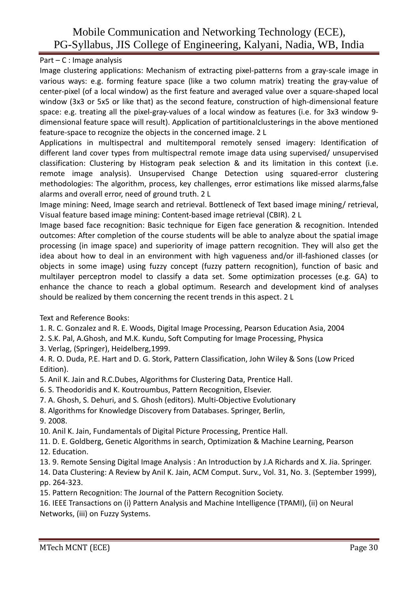# Part – C : Image analysis

Image clustering applications: Mechanism of extracting pixel-patterns from a gray-scale image in various ways: e.g. forming feature space (like a two column matrix) treating the gray-value of center-pixel (of a local window) as the first feature and averaged value over a square-shaped local window (3x3 or 5x5 or like that) as the second feature, construction of high-dimensional feature space: e.g. treating all the pixel-gray-values of a local window as features (i.e. for 3x3 window 9 dimensional feature space will result). Application of partitionalclusterings in the above mentioned feature-space to recognize the objects in the concerned image. 2 L

Applications in multispectral and multitemporal remotely sensed imagery: Identification of different land cover types from multispectral remote image data using supervised/ unsupervised classification: Clustering by Histogram peak selection & and its limitation in this context (i.e. remote image analysis). Unsupervised Change Detection using squared-error clustering methodologies: The algorithm, process, key challenges, error estimations like missed alarms,false alarms and overall error, need of ground truth. 2 L

Image mining: Need, Image search and retrieval. Bottleneck of Text based image mining/ retrieval, Visual feature based image mining: Content-based image retrieval (CBIR). 2 L

Image based face recognition: Basic technique for Eigen face generation & recognition. Intended outcomes: After completion of the course students will be able to analyze about the spatial image processing (in image space) and superiority of image pattern recognition. They will also get the idea about how to deal in an environment with high vagueness and/or ill-fashioned classes (or objects in some image) using fuzzy concept (fuzzy pattern recognition), function of basic and multilayer perceptron model to classify a data set. Some optimization processes (e.g. GA) to enhance the chance to reach a global optimum. Research and development kind of analyses should be realized by them concerning the recent trends in this aspect. 2 L

Text and Reference Books:

- 1. R. C. Gonzalez and R. E. Woods, Digital Image Processing, Pearson Education Asia, 2004
- 2. S.K. Pal, A.Ghosh, and M.K. Kundu, Soft Computing for Image Processing, Physica
- 3. Verlag, (Springer), Heidelberg,1999.

4. R. O. Duda, P.E. Hart and D. G. Stork, Pattern Classification, John Wiley & Sons (Low Priced Edition).

- 5. Anil K. Jain and R.C.Dubes, Algorithms for Clustering Data, Prentice Hall.
- 6. S. Theodoridis and K. Koutroumbus, Pattern Recognition, Elsevier.
- 7. A. Ghosh, S. Dehuri, and S. Ghosh (editors). Multi-Objective Evolutionary
- 8. Algorithms for Knowledge Discovery from Databases. Springer, Berlin, 9. 2008.
- 10. Anil K. Jain, Fundamentals of Digital Picture Processing, Prentice Hall.
- 11. D. E. Goldberg, Genetic Algorithms in search, Optimization & Machine Learning, Pearson
- 12. Education.
- 13. 9. Remote Sensing Digital Image Analysis : An Introduction by J.A Richards and X. Jia. Springer.
- 14. Data Clustering: A Review by Anil K. Jain, ACM Comput. Surv., Vol. 31, No. 3. (September 1999), pp. 264-323.
- 15. Pattern Recognition: The Journal of the Pattern Recognition Society.

16. IEEE Transactions on (i) Pattern Analysis and Machine Intelligence (TPAMI), (ii) on Neural Networks, (iii) on Fuzzy Systems.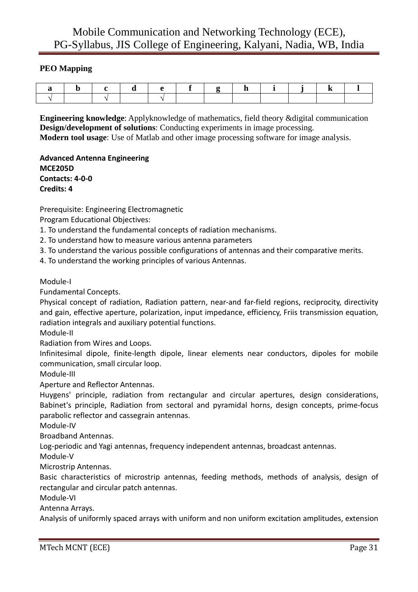# **PEO Mapping**

**Engineering knowledge**: Applyknowledge of mathematics, field theory &digital communication **Design/development of solutions**: Conducting experiments in image processing. **Modern tool usage**: Use of Matlab and other image processing software for image analysis.

**Advanced Antenna Engineering MCE205D Contacts: 4-0-0 Credits: 4** 

Prerequisite: Engineering Electromagnetic

Program Educational Objectives:

1. To understand the fundamental concepts of radiation mechanisms.

2. To understand how to measure various antenna parameters

3. To understand the various possible configurations of antennas and their comparative merits.

4. To understand the working principles of various Antennas.

Module-I

Fundamental Concepts.

Physical concept of radiation, Radiation pattern, near-and far-field regions, reciprocity, directivity and gain, effective aperture, polarization, input impedance, efficiency, Friis transmission equation, radiation integrals and auxiliary potential functions.

Module-II

Radiation from Wires and Loops.

Infinitesimal dipole, finite-length dipole, linear elements near conductors, dipoles for mobile communication, small circular loop.

Module-III

Aperture and Reflector Antennas.

Huygens' principle, radiation from rectangular and circular apertures, design considerations, Babinet's principle, Radiation from sectoral and pyramidal horns, design concepts, prime-focus parabolic reflector and cassegrain antennas.

Module-IV

Broadband Antennas.

Log-periodic and Yagi antennas, frequency independent antennas, broadcast antennas.

Module-V

Microstrip Antennas.

Basic characteristics of microstrip antennas, feeding methods, methods of analysis, design of rectangular and circular patch antennas.

Module-VI

Antenna Arrays.

Analysis of uniformly spaced arrays with uniform and non uniform excitation amplitudes, extension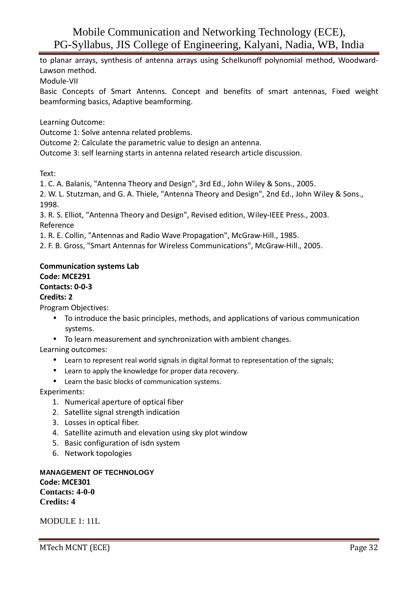to planar arrays, synthesis of antenna arrays using Schelkunoff polynomial method, Woodward-Lawson method.

Module-VII

Basic Concepts of Smart Antenns. Concept and benefits of smart antennas, Fixed weight beamforming basics, Adaptive beamforming.

Learning Outcome:

Outcome 1: Solve antenna related problems.

Outcome 2: Calculate the parametric value to design an antenna.

Outcome 3: self learning starts in antenna related research article discussion.

Text:

1. C. A. Balanis, "Antenna Theory and Design", 3rd Ed., John Wiley & Sons., 2005.

2. W. L. Stutzman, and G. A. Thiele, "Antenna Theory and Design", 2nd Ed., John Wiley & Sons., 1998.

3. R. S. Elliot, "Antenna Theory and Design", Revised edition, Wiley-IEEE Press., 2003. Reference

1. R. E. Collin, "Antennas and Radio Wave Propagation", McGraw-Hill., 1985.

2. F. B. Gross, "Smart Antennas for Wireless Communications", McGraw-Hill., 2005.

### **Communication systems Lab**

### **Code: MCE291**

### **Contacts: 0-0-3**

### **Credits: 2**

Program Objectives:

- To introduce the basic principles, methods, and applications of various communication systems.
- To learn measurement and synchronization with ambient changes.

Learning outcomes:

- Learn to represent real world signals in digital format to representation of the signals;
- Learn to apply the knowledge for proper data recovery.
- Learn the basic blocks of communication systems.

Experiments:

- 1. Numerical aperture of optical fiber
- 2. Satellite signal strength indication
- 3. Losses in optical fiber.
- 4. Satellite azimuth and elevation using sky plot window
- 5. Basic configuration of isdn system
- 6. Network topologies

**MANAGEMENT OF TECHNOLOGY Code: MCE301 Contacts: 4-0-0 Credits: 4** 

MODULE 1: 11L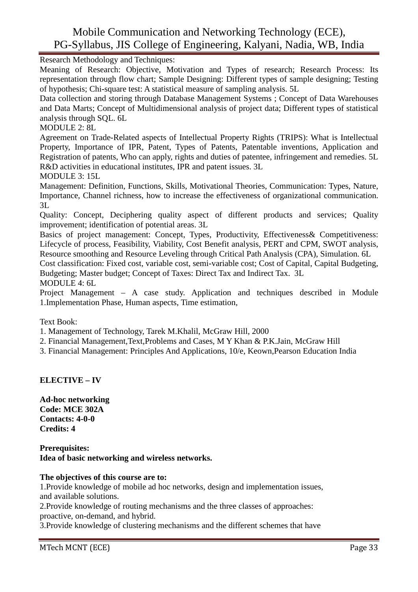Research Methodology and Techniques:

Meaning of Research: Objective, Motivation and Types of research; Research Process: Its representation through flow chart; Sample Designing: Different types of sample designing; Testing of hypothesis; Chi-square test: A statistical measure of sampling analysis. 5L

Data collection and storing through Database Management Systems ; Concept of Data Warehouses and Data Marts; Concept of Multidimensional analysis of project data; Different types of statistical analysis through SQL. 6L

MODULE 2: 8L

Agreement on Trade-Related aspects of Intellectual Property Rights (TRIPS): What is Intellectual Property, Importance of IPR, Patent, Types of Patents, Patentable inventions, Application and Registration of patents, Who can apply, rights and duties of patentee, infringement and remedies. 5L R&D activities in educational institutes, IPR and patent issues. 3L

MODULE 3: 15L

Management: Definition, Functions, Skills, Motivational Theories, Communication: Types, Nature, Importance, Channel richness, how to increase the effectiveness of organizational communication. 3L

Quality: Concept, Deciphering quality aspect of different products and services; Quality improvement; identification of potential areas. 3L

Basics of project management: Concept, Types, Productivity, Effectiveness& Competitiveness: Lifecycle of process, Feasibility, Viability, Cost Benefit analysis, PERT and CPM, SWOT analysis, Resource smoothing and Resource Leveling through Critical Path Analysis (CPA), Simulation. 6L

Cost classification: Fixed cost, variable cost, semi-variable cost; Cost of Capital, Capital Budgeting, Budgeting; Master budget; Concept of Taxes: Direct Tax and Indirect Tax. 3L

MODULE 4: 6L

Project Management – A case study. Application and techniques described in Module 1.Implementation Phase, Human aspects, Time estimation,

Text Book:

1. Management of Technology, Tarek M.Khalil, McGraw Hill, 2000

2. Financial Management,Text,Problems and Cases, M Y Khan & P.K.Jain, McGraw Hill

3. Financial Management: Principles And Applications, 10/e, Keown,Pearson Education India

# **ELECTIVE – IV**

**Ad-hoc networking Code: MCE 302A Contacts: 4-0-0 Credits: 4** 

### **Prerequisites: Idea of basic networking and wireless networks.**

### **The objectives of this course are to:**

1.Provide knowledge of mobile ad hoc networks, design and implementation issues, and available solutions.

2.Provide knowledge of routing mechanisms and the three classes of approaches:

proactive, on-demand, and hybrid.

3.Provide knowledge of clustering mechanisms and the different schemes that have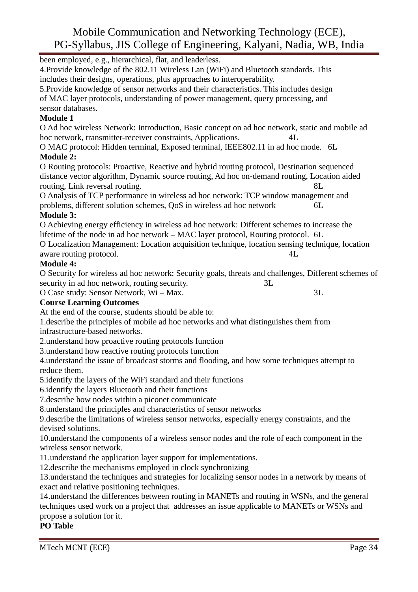been employed, e.g., hierarchical, flat, and leaderless.

4.Provide knowledge of the 802.11 Wireless Lan (WiFi) and Bluetooth standards. This includes their designs, operations, plus approaches to interoperability.

5.Provide knowledge of sensor networks and their characteristics. This includes design of MAC layer protocols, understanding of power management, query processing, and sensor databases.

# **Module 1**

O Ad hoc wireless Network: Introduction, Basic concept on ad hoc network, static and mobile ad hoc network, transmitter-receiver constraints, Applications. 4L

O MAC protocol: Hidden terminal, Exposed terminal, IEEE802.11 in ad hoc mode. 6L **Module 2:** 

O Routing protocols: Proactive, Reactive and hybrid routing protocol, Destination sequenced distance vector algorithm, Dynamic source routing, Ad hoc on-demand routing, Location aided routing, Link reversal routing.  $8L$ 

O Analysis of TCP performance in wireless ad hoc network: TCP window management and problems, different solution schemes, QoS in wireless ad hoc network 6L

# **Module 3:**

O Achieving energy efficiency in wireless ad hoc network: Different schemes to increase the lifetime of the node in ad hoc network – MAC layer protocol, Routing protocol. 6L O Localization Management: Location acquisition technique, location sensing technique, location

aware routing protocol.  $4L$ 

# **Module 4:**

O Security for wireless ad hoc network: Security goals, threats and challenges, Different schemes of security in ad hoc network, routing security.  $3L$ 

O Case study: Sensor Network, Wi – Max. 3L

# **Course Learning Outcomes**

At the end of the course, students should be able to:

1.describe the principles of mobile ad hoc networks and what distinguishes them from infrastructure-based networks.

2.understand how proactive routing protocols function

3.understand how reactive routing protocols function

4.understand the issue of broadcast storms and flooding, and how some techniques attempt to reduce them.

5.identify the layers of the WiFi standard and their functions

6.identify the layers Bluetooth and their functions

7.describe how nodes within a piconet communicate

8.understand the principles and characteristics of sensor networks

9.describe the limitations of wireless sensor networks, especially energy constraints, and the devised solutions.

10.understand the components of a wireless sensor nodes and the role of each component in the wireless sensor network.

11.understand the application layer support for implementations.

12.describe the mechanisms employed in clock synchronizing

13.understand the techniques and strategies for localizing sensor nodes in a network by means of exact and relative positioning techniques.

14.understand the differences between routing in MANETs and routing in WSNs, and the general techniques used work on a project that addresses an issue applicable to MANETs or WSNs and propose a solution for it.

# **PO Table**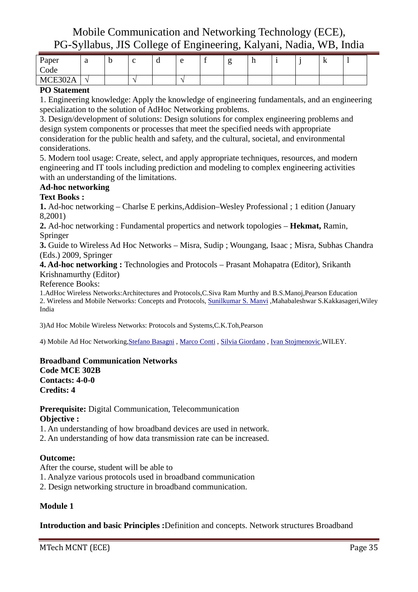| Paper              | $\sqrt{2}$<br>u          | ັ | ີ | $\Omega$ |  | ш |  | A |  |
|--------------------|--------------------------|---|---|----------|--|---|--|---|--|
| Code               |                          |   |   |          |  |   |  |   |  |
| MCF302A<br>MUDUULI | $\overline{\phantom{a}}$ |   |   |          |  |   |  |   |  |

### **PO Statement**

1. Engineering knowledge: Apply the knowledge of engineering fundamentals, and an engineering specialization to the solution of AdHoc Networking problems.

3. Design/development of solutions: Design solutions for complex engineering problems and design system components or processes that meet the specified needs with appropriate consideration for the public health and safety, and the cultural, societal, and environmental considerations.

5. Modern tool usage: Create, select, and apply appropriate techniques, resources, and modern engineering and IT tools including prediction and modeling to complex engineering activities with an understanding of the limitations.

# **Ad-hoc networking**

### **Text Books :**

**1.** Ad-hoc networking – Charlse E perkins,Addision–Wesley Professional ; 1 edition (January 8,2001)

**2.** Ad-hoc networking : Fundamental propertics and network topologies – **Hekmat,** Ramin, Springer

**3.** Guide to Wireless Ad Hoc Networks – Misra, Sudip ; Woungang, Isaac ; Misra, Subhas Chandra (Eds.) 2009, Springer

### **4. Ad-hoc networking :** Technologies and Protocols – Prasant Mohapatra (Editor), Srikanth Krishnamurthy (Editor)

Reference Books:

1.AdHoc Wireless Networks:Architectures and Protocols,C.Siva Ram Murthy and B.S.Manoj,Pearson Education 2. Wireless and Mobile Networks: Concepts and Protocols, Sunilkumar S. Manvi ,Mahabaleshwar S.Kakkasageri,Wiley India

3)Ad Hoc Mobile Wireless Networks: Protocols and Systems,C.K.Toh,Pearson

4) Mobile Ad Hoc Networking,Stefano Basagni , Marco Conti , Silvia Giordano , Ivan Stojmenovic,WILEY.

### **Broadband Communication Networks Code MCE 302B Contacts: 4-0-0 Credits: 4**

**Prerequisite:** Digital Communication, Telecommunication **Objective :** 

1. An understanding of how broadband devices are used in network.

2. An understanding of how data transmission rate can be increased.

# **Outcome:**

After the course, student will be able to

1. Analyze various protocols used in broadband communication

2. Design networking structure in broadband communication.

# **Module 1**

**Introduction and basic Principles :**Definition and concepts. Network structures Broadband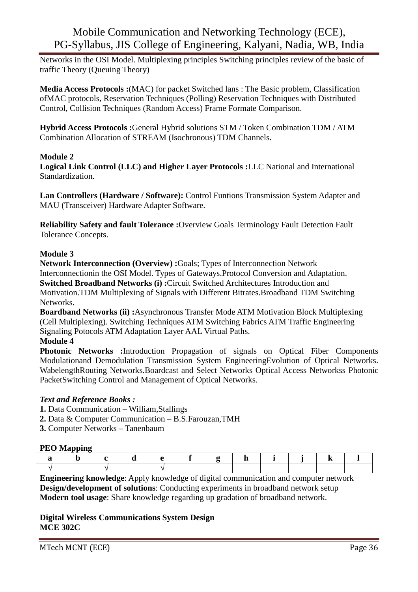Networks in the OSI Model. Multiplexing principles Switching principles review of the basic of traffic Theory (Queuing Theory)

**Media Access Protocols :**(MAC) for packet Switched lans : The Basic problem, Classification ofMAC protocols, Reservation Techniques (Polling) Reservation Techniques with Distributed Control, Collision Techniques (Random Access) Frame Formate Comparison.

**Hybrid Access Protocols :**General Hybrid solutions STM / Token Combination TDM / ATM Combination Allocation of STREAM (Isochronous) TDM Channels.

# **Module 2**

**Logical Link Control (LLC) and Higher Layer Protocols :**LLC National and International Standardization.

**Lan Controllers (Hardware / Software):** Control Funtions Transmission System Adapter and MAU (Transceiver) Hardware Adapter Software.

**Reliability Safety and fault Tolerance :**Overview Goals Terminology Fault Detection Fault Tolerance Concepts.

# **Module 3**

**Network Interconnection (Overview) :**Goals; Types of Interconnection Network Interconnectionin the OSI Model. Types of Gateways.Protocol Conversion and Adaptation. **Switched Broadband Networks (i) :**Circuit Switched Architectures Introduction and Motivation.TDM Multiplexing of Signals with Different Bitrates.Broadband TDM Switching Networks.

**Boardband Networks (ii) :**Asynchronous Transfer Mode ATM Motivation Block Multiplexing (Cell Multiplexing). Switching Techniques ATM Switching Fabrics ATM Traffic Engineering Signaling Potocols ATM Adaptation Layer AAL Virtual Paths.

# **Module 4**

**Photonic Networks :**Introduction Propagation of signals on Optical Fiber Components Modulationand Demodulation Transmission System EngineeringEvolution of Optical Networks. WabelengthRouting Networks.Boardcast and Select Networks Optical Access Networkss Photonic PacketSwitching Control and Management of Optical Networks.

# *Text and Reference Books :*

- **1.** Data Communication William,Stallings
- **2.** Data & Computer Communication B.S.Farouzan,TMH
- **3.** Computer Networks Tanenbaum

### **PEO Mapping**

**Engineering knowledge**: Apply knowledge of digital communication and computer network **Design/development of solutions**: Conducting experiments in broadband network setup **Modern tool usage**: Share knowledge regarding up gradation of broadband network.

**Digital Wireless Communications System Design MCE 302C**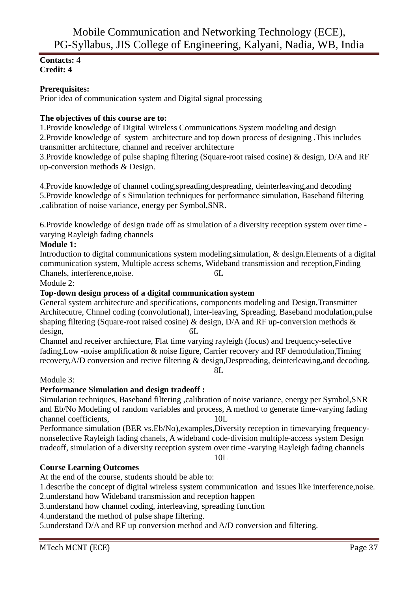### **Contacts: 4 Credit: 4**

### **Prerequisites:**

Prior idea of communication system and Digital signal processing

### **The objectives of this course are to:**

1.Provide knowledge of Digital Wireless Communications System modeling and design 2.Provide knowledge of system architecture and top down process of designing .This includes transmitter architecture, channel and receiver architecture

3.Provide knowledge of pulse shaping filtering (Square-root raised cosine) & design, D/A and RF up-conversion methods & Design.

4.Provide knowledge of channel coding,spreading,despreading, deinterleaving,and decoding 5.Provide knowledge of s Simulation techniques for performance simulation, Baseband filtering ,calibration of noise variance, energy per Symbol,SNR.

6.Provide knowledge of design trade off as simulation of a diversity reception system over time varying Rayleigh fading channels

# **Module 1:**

Introduction to digital communications system modeling,simulation, & design.Elements of a digital communication system, Multiple access schems, Wideband transmission and reception,Finding Chanels, interference,noise. 6L

Module 2:

### **Top-down design process of a digital communication system**

General system architecture and specifications, components modeling and Design,Transmitter Architecutre, Chnnel coding (convolutional), inter-leaving, Spreading, Baseband modulation,pulse shaping filtering (Square-root raised cosine) & design, D/A and RF up-conversion methods & design, 6L

Channel and receiver archiecture, Flat time varying rayleigh (focus) and frequency-selective fading,Low -noise amplification & noise figure, Carrier recovery and RF demodulation,Timing recovery,A/D conversion and recive filtering & design,Despreading, deinterleaving,and decoding. 8L

### Module 3:

### **Performance Simulation and design tradeoff :**

Simulation techniques, Baseband filtering ,calibration of noise variance, energy per Symbol,SNR and Eb/No Modeling of random variables and process, A method to generate time-varying fading channel coefficients, 10L

Performance simulation (BER vs.Eb/No),examples,Diversity reception in timevarying frequencynonselective Rayleigh fading chanels, A wideband code-division multiple-access system Design tradeoff, simulation of a diversity reception system over time -varying Rayleigh fading channels

10L

### **Course Learning Outcomes**

At the end of the course, students should be able to:

1.describe the concept of digital wireless system communication and issues like interference,noise.

2.understand how Wideband transmission and reception happen

3.understand how channel coding, interleaving, spreading function

4.understand the method of pulse shape filtering.

5.understand D/A and RF up conversion method and A/D conversion and filtering.